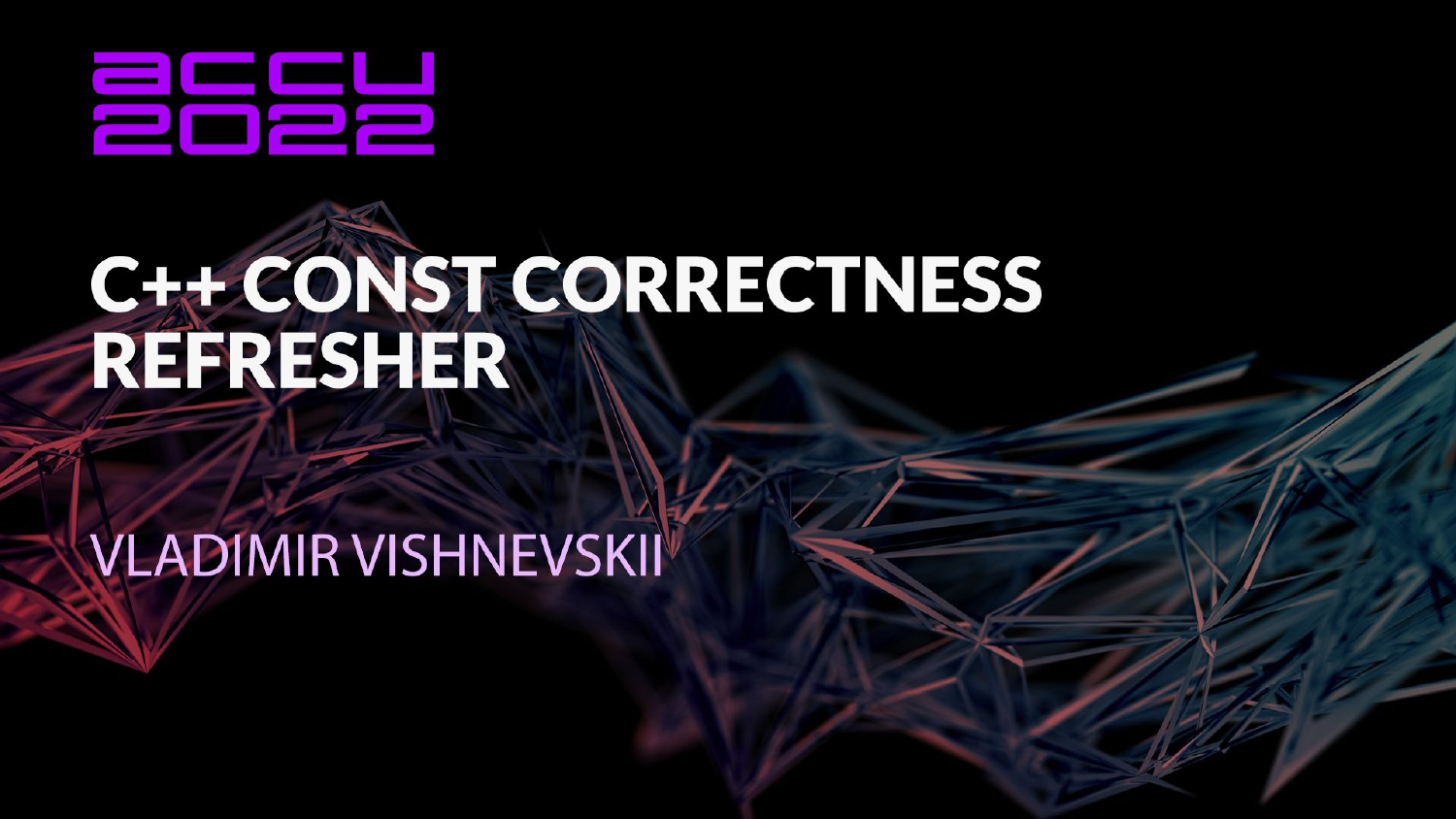

# C++ CONST CORRECTNESS<br>REFRESHER

# **VLADIMIR VISHNEVSKII**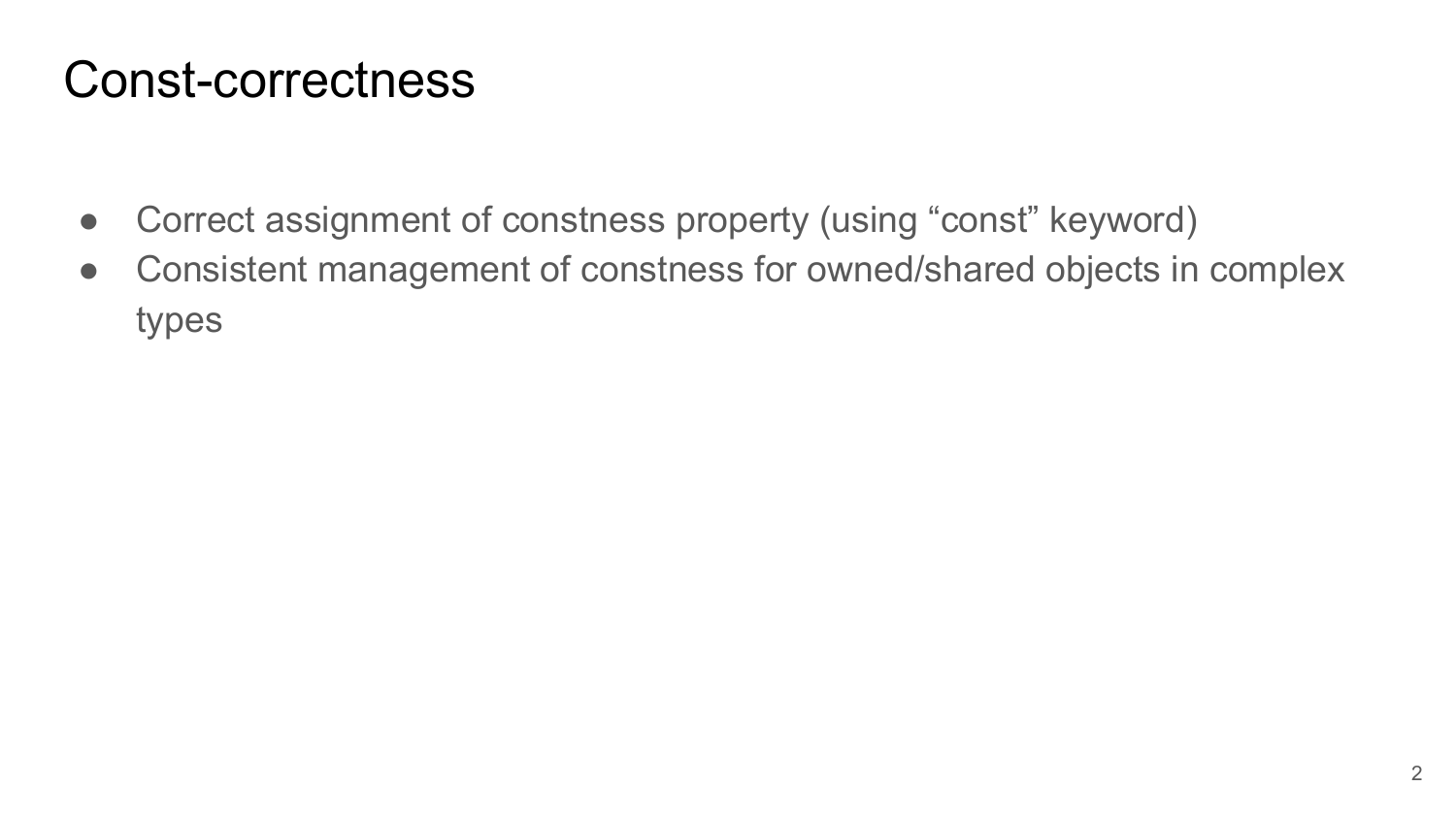#### Const-correctness

- Correct assignment of constness property (using "const" keyword)
- Consistent management of constness for owned/shared objects in complex types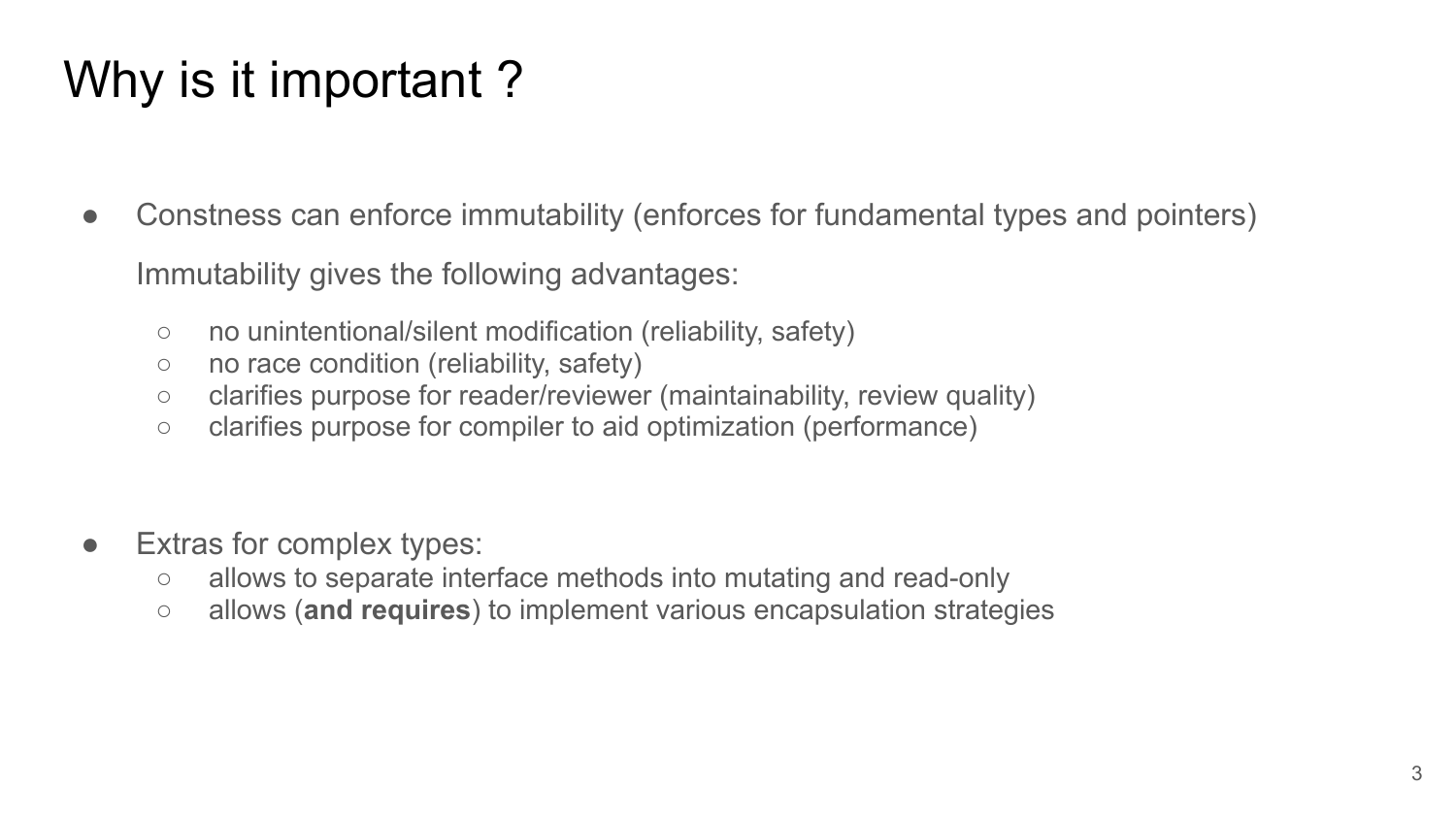# Why is it important ?

- Constness can enforce immutability (enforces for fundamental types and pointers) Immutability gives the following advantages:
	- no unintentional/silent modification (reliability, safety)
	- no race condition (reliability, safety)
	- clarifies purpose for reader/reviewer (maintainability, review quality)
	- clarifies purpose for compiler to aid optimization (performance)
- Extras for complex types:
	- allows to separate interface methods into mutating and read-only
	- allows (**and requires**) to implement various encapsulation strategies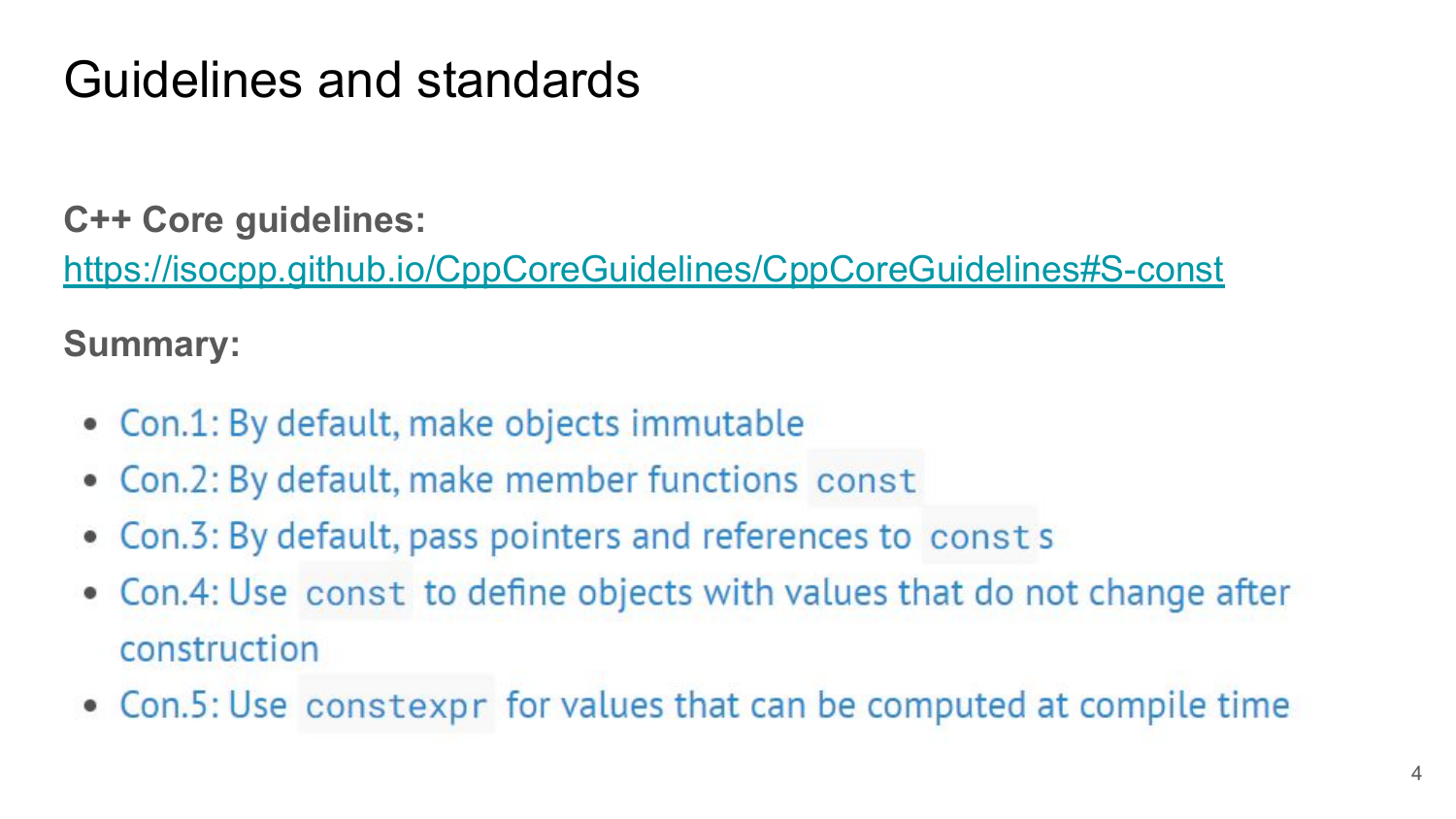# Guidelines and standards

**C++ Core guidelines:**

<https://isocpp.github.io/CppCoreGuidelines/CppCoreGuidelines#S-const>

**Summary:**

- Con.1: By default, make objects immutable
- Con.2: By default, make member functions const  $\bullet$
- Con.3: By default, pass pointers and references to const s
- Con.4: Use const to define objects with values that do not change after construction
- Con.5: Use constexpr for values that can be computed at compile time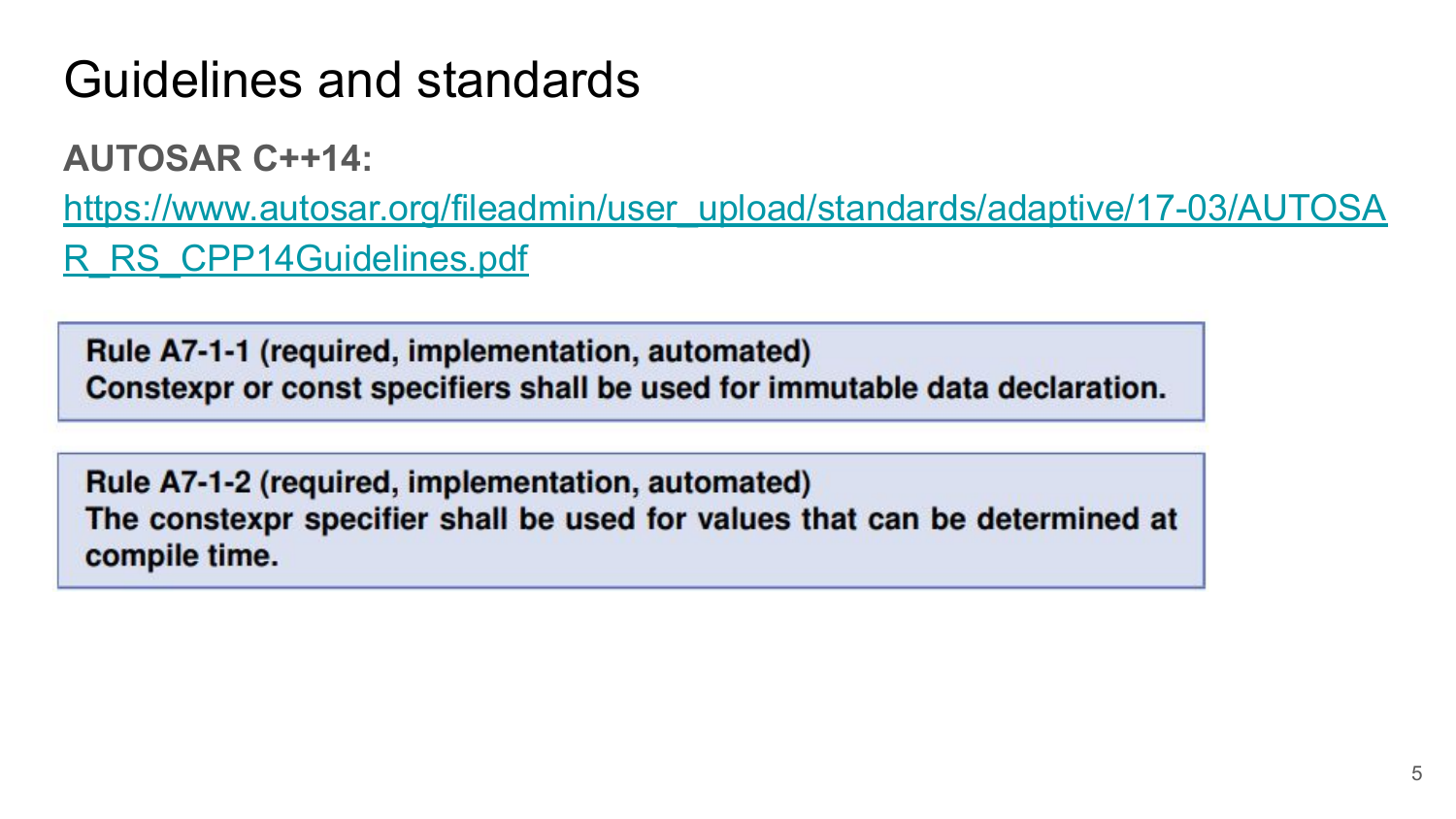# Guidelines and standards

**AUTOSAR C++14:**

[https://www.autosar.org/fileadmin/user\\_upload/standards/adaptive/17-03/AUTOSA](https://www.autosar.org/fileadmin/user_upload/standards/adaptive/17-03/AUTOSAR_RS_CPP14Guidelines.pdf) [R\\_RS\\_CPP14Guidelines.pdf](https://www.autosar.org/fileadmin/user_upload/standards/adaptive/17-03/AUTOSAR_RS_CPP14Guidelines.pdf)

Rule A7-1-1 (required, implementation, automated) Constexpr or const specifiers shall be used for immutable data declaration.

Rule A7-1-2 (required, implementation, automated) The constexpr specifier shall be used for values that can be determined at compile time.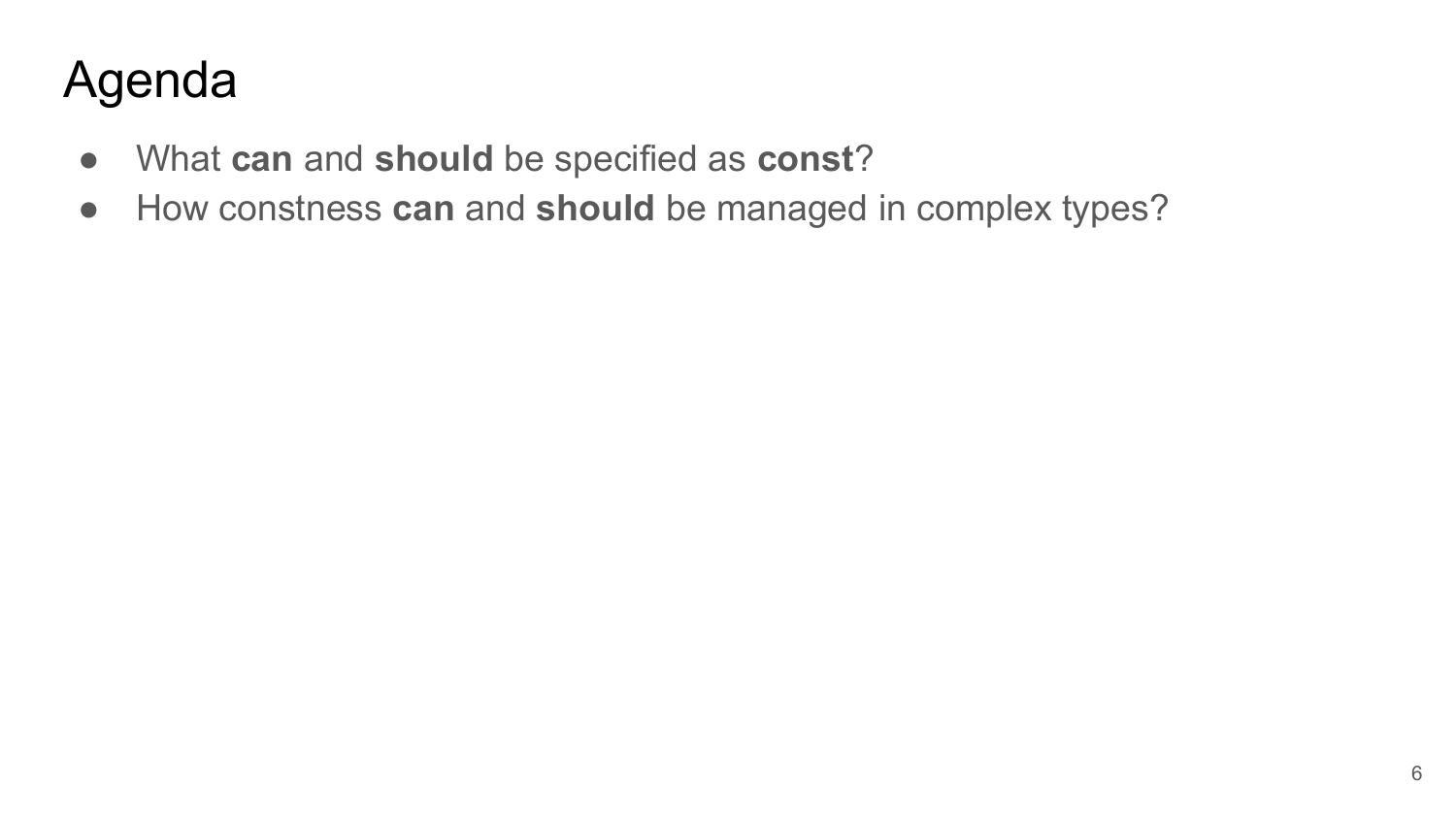# Agenda

- What **can** and **should** be specified as **const**?
- How constness **can** and **should** be managed in complex types?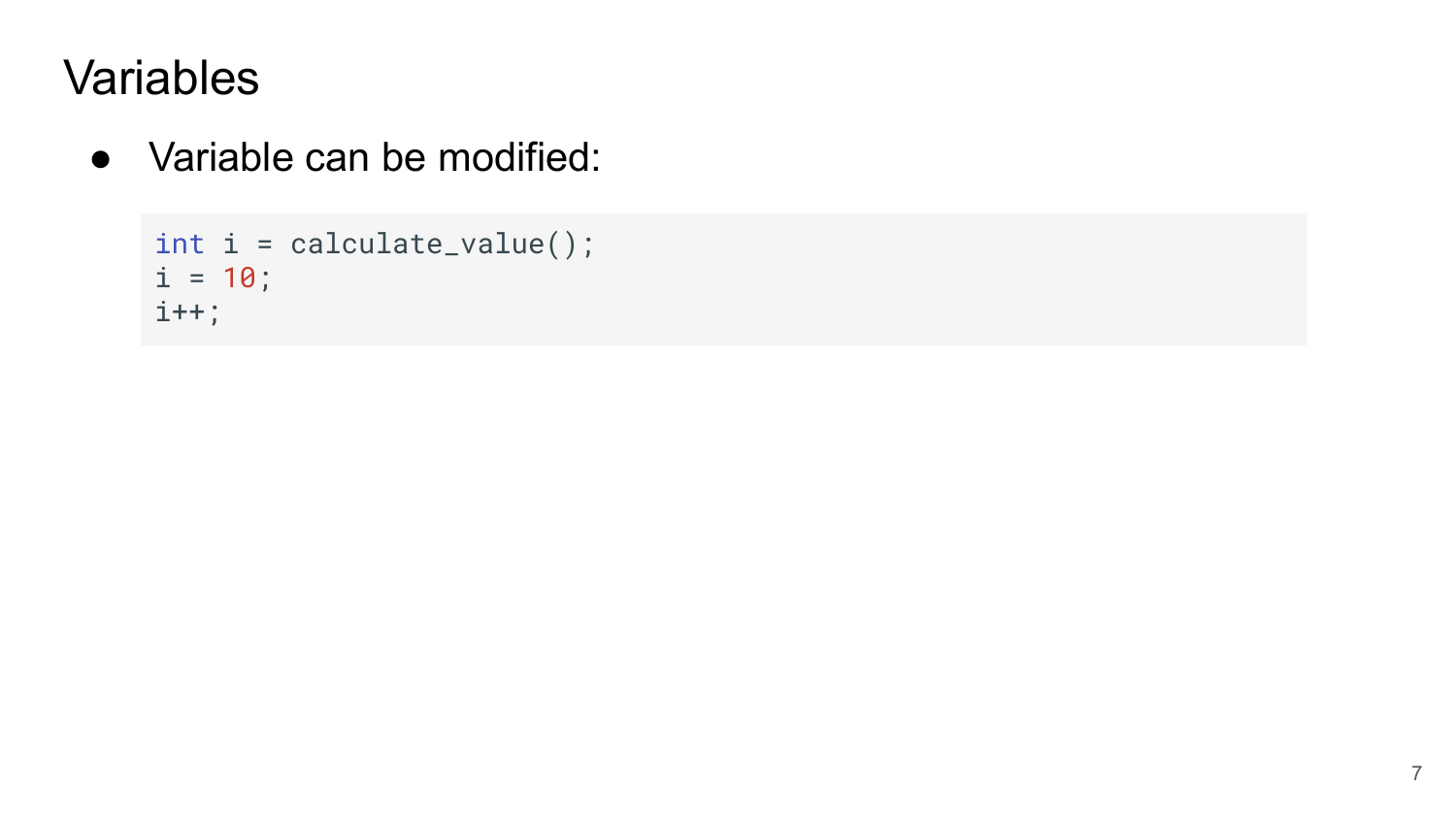● Variable can be modified:

```
int i = calculate_value();
i = 10;i++;
```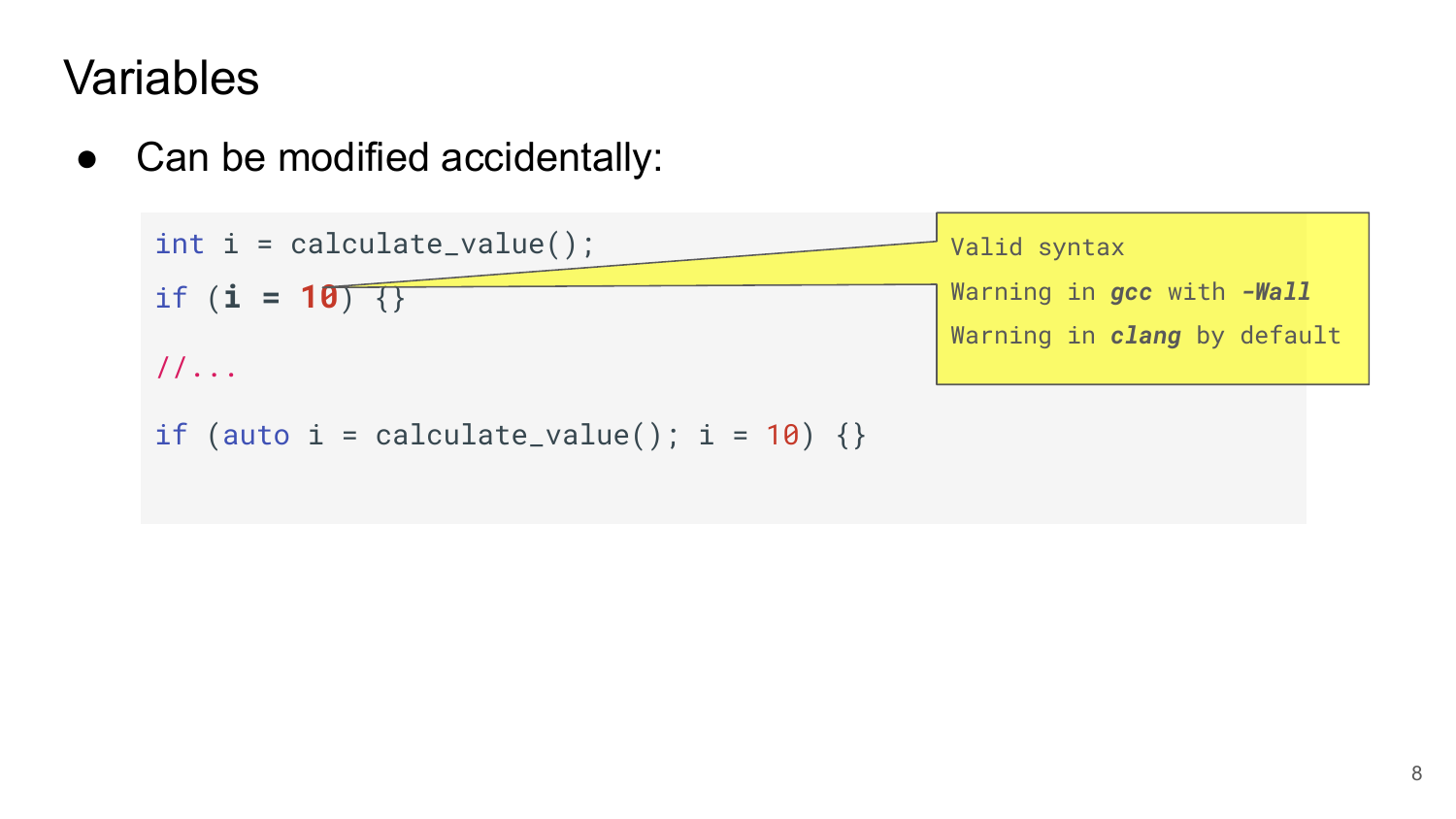• Can be modified accidentally:

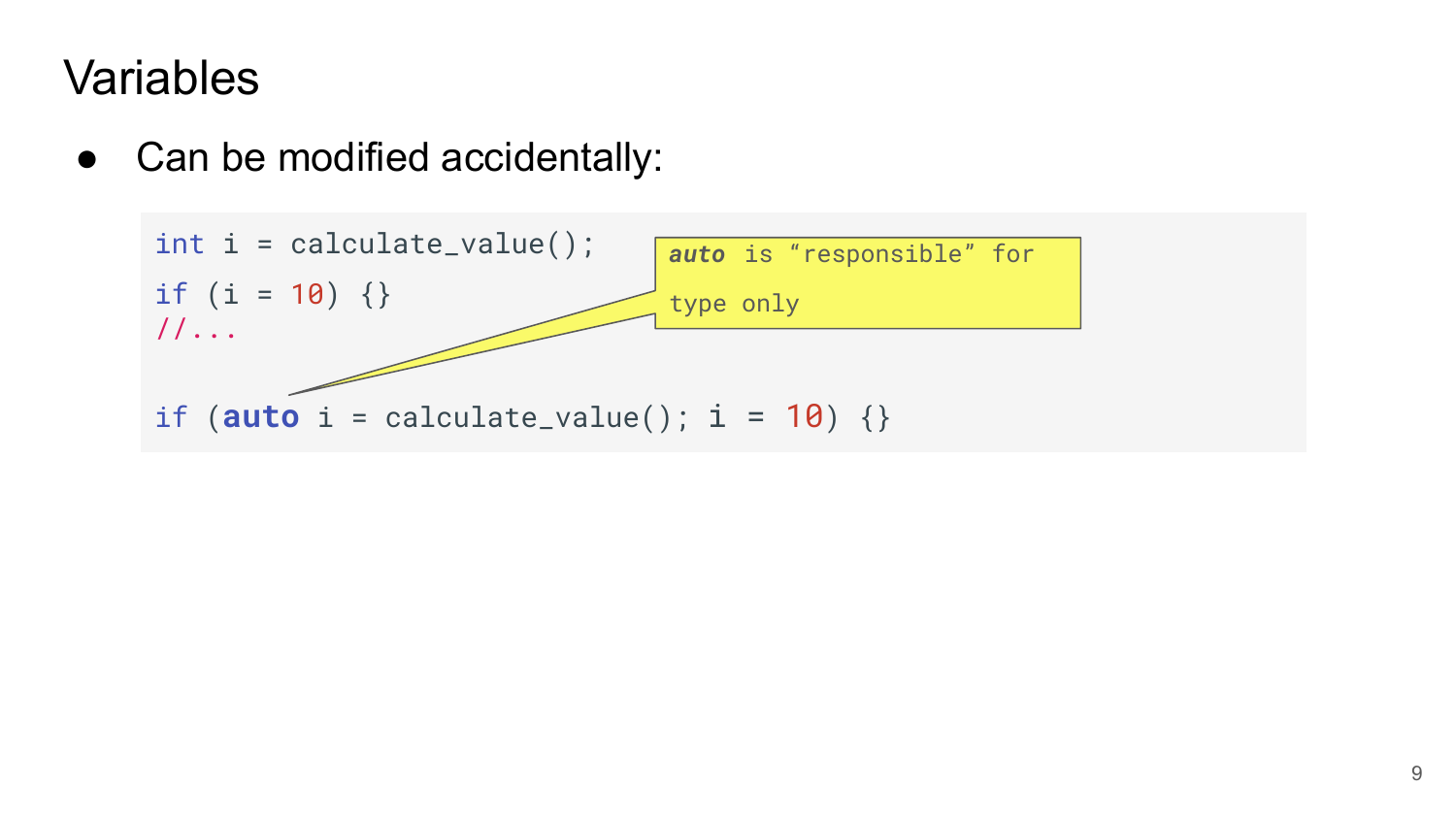• Can be modified accidentally:

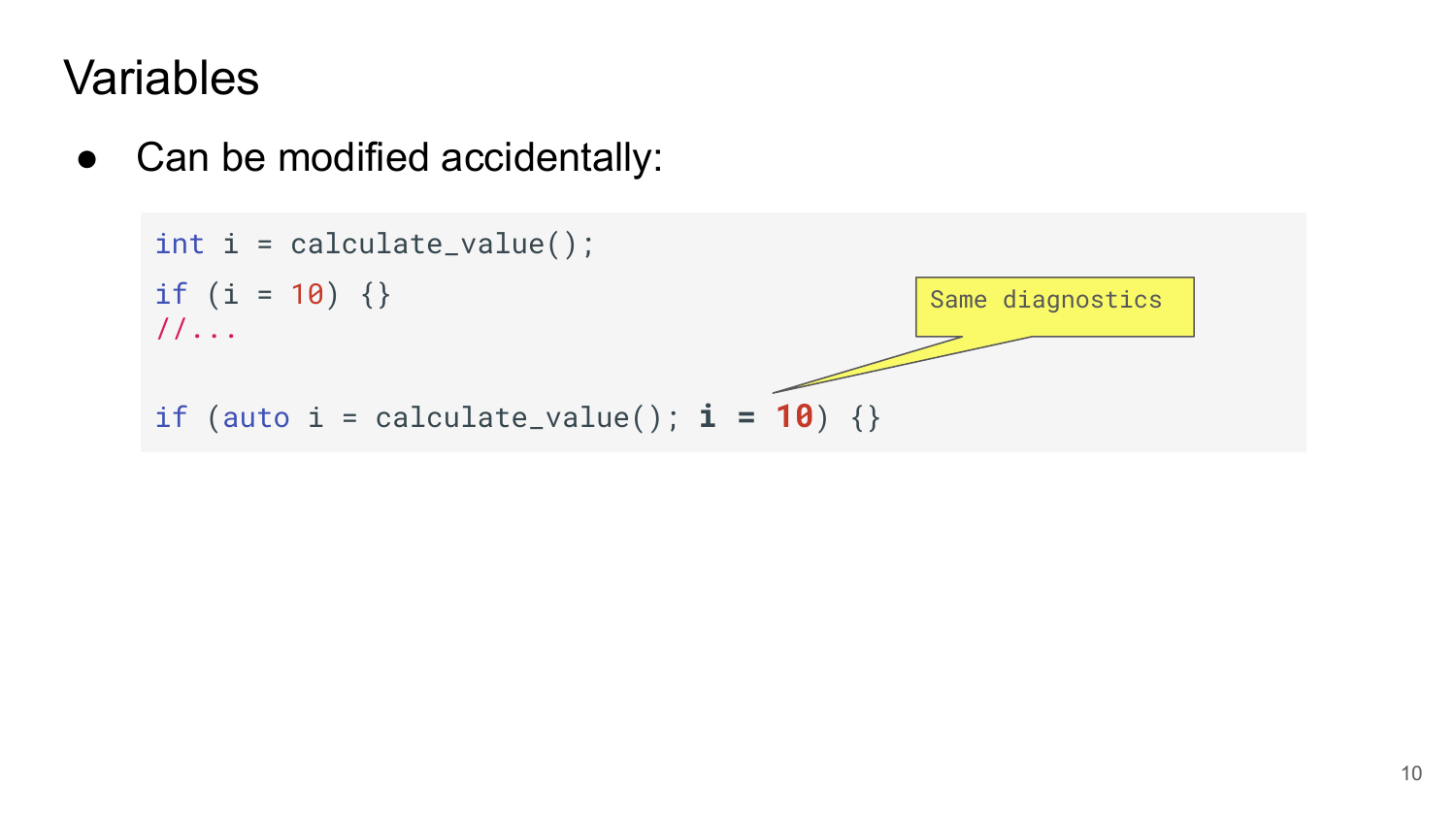• Can be modified accidentally:

```
int i = calculate_value();
if (i = 10) \{\}//...
if (auto i = \text{calculate_value}); i = 10) {}
                                                  Same diagnostics
```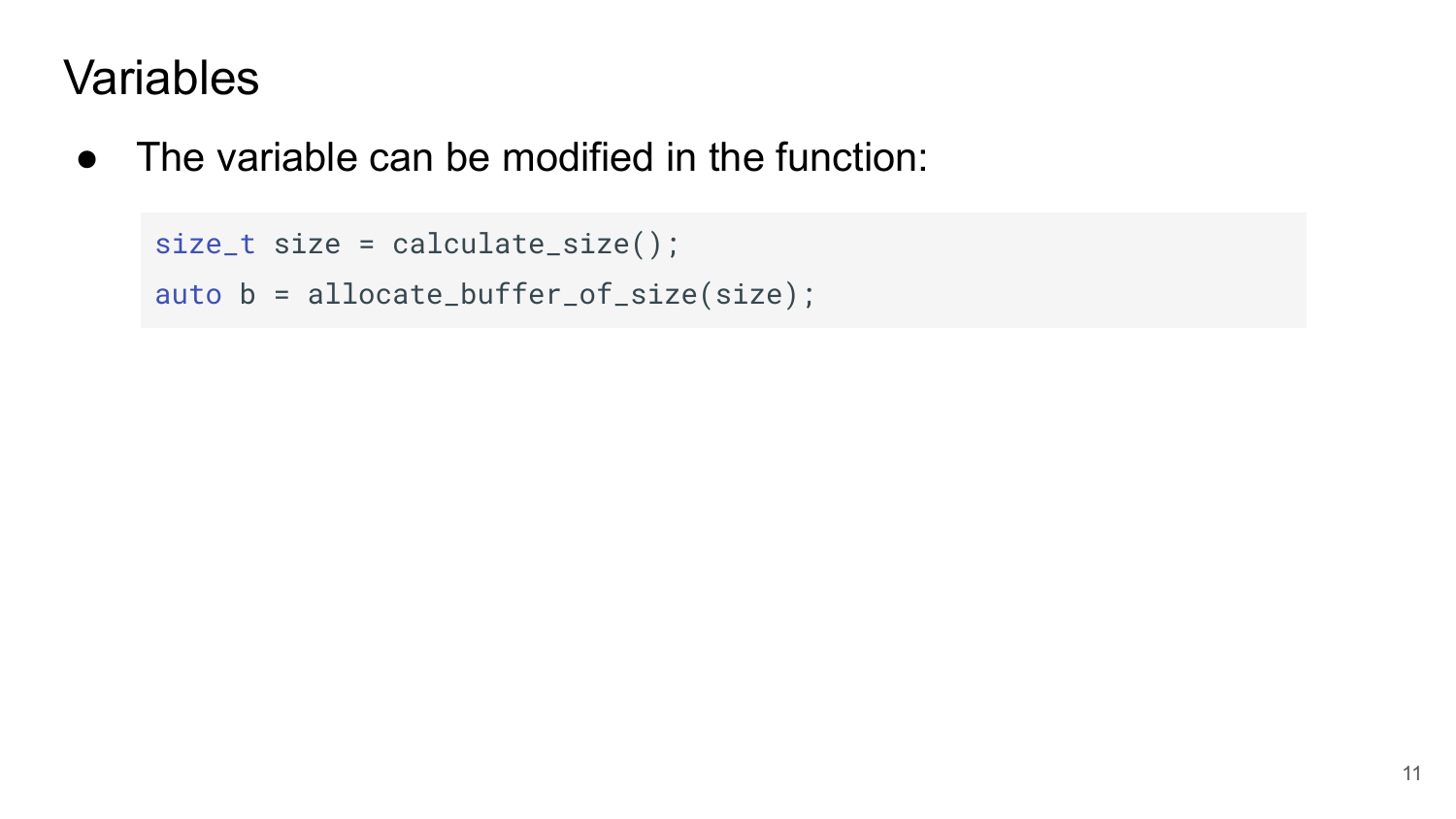● The variable can be modified in the function:

```
size_t size = calculate_size();
auto b = allocate_buffer_of_size(size);
```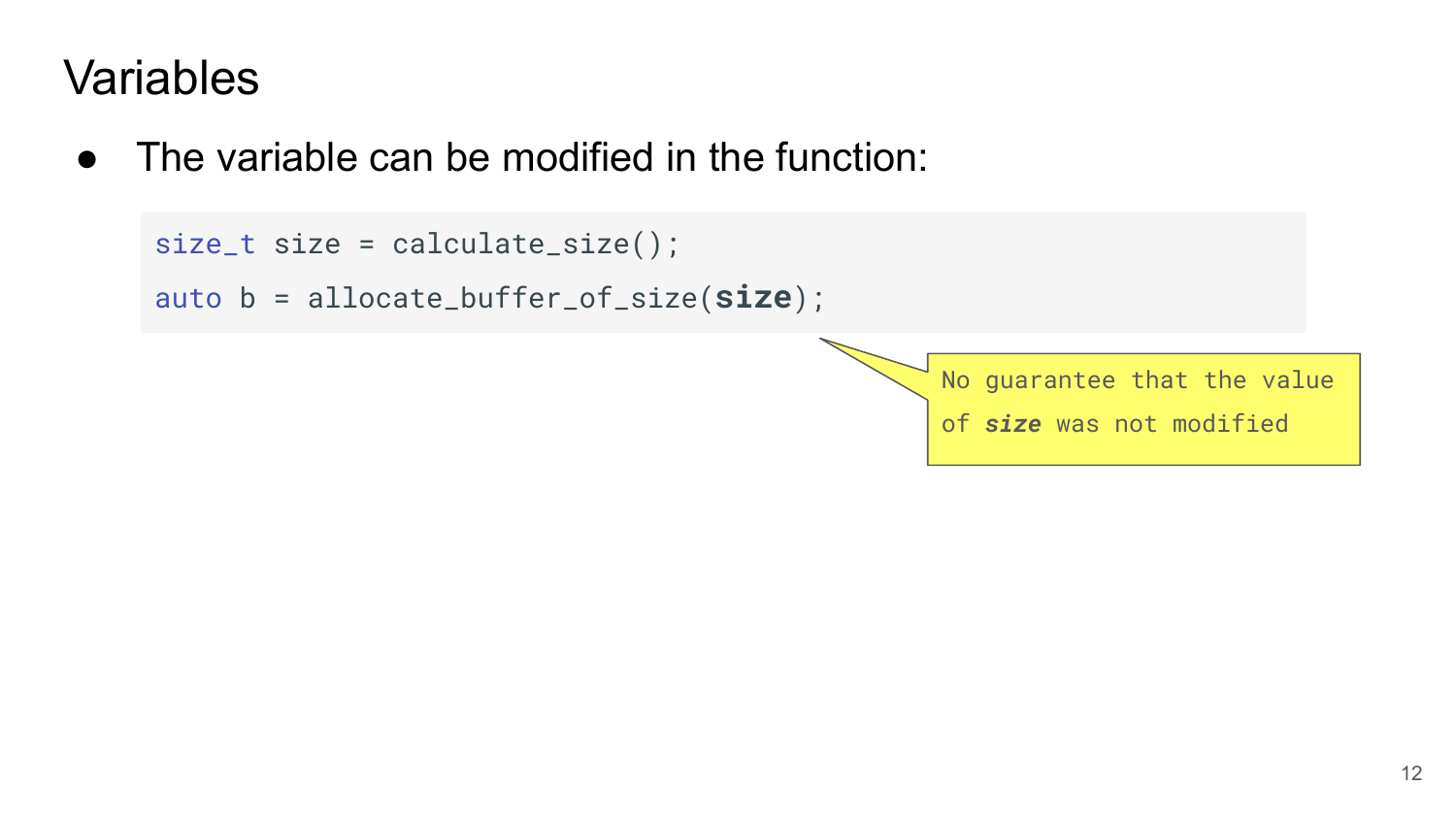$\bullet$  The variable can be modified in the function:

```
size_t size = calculate_size();
auto b = allocate_buffer_of_size(size);
```
No guarantee that the value of *size* was not modified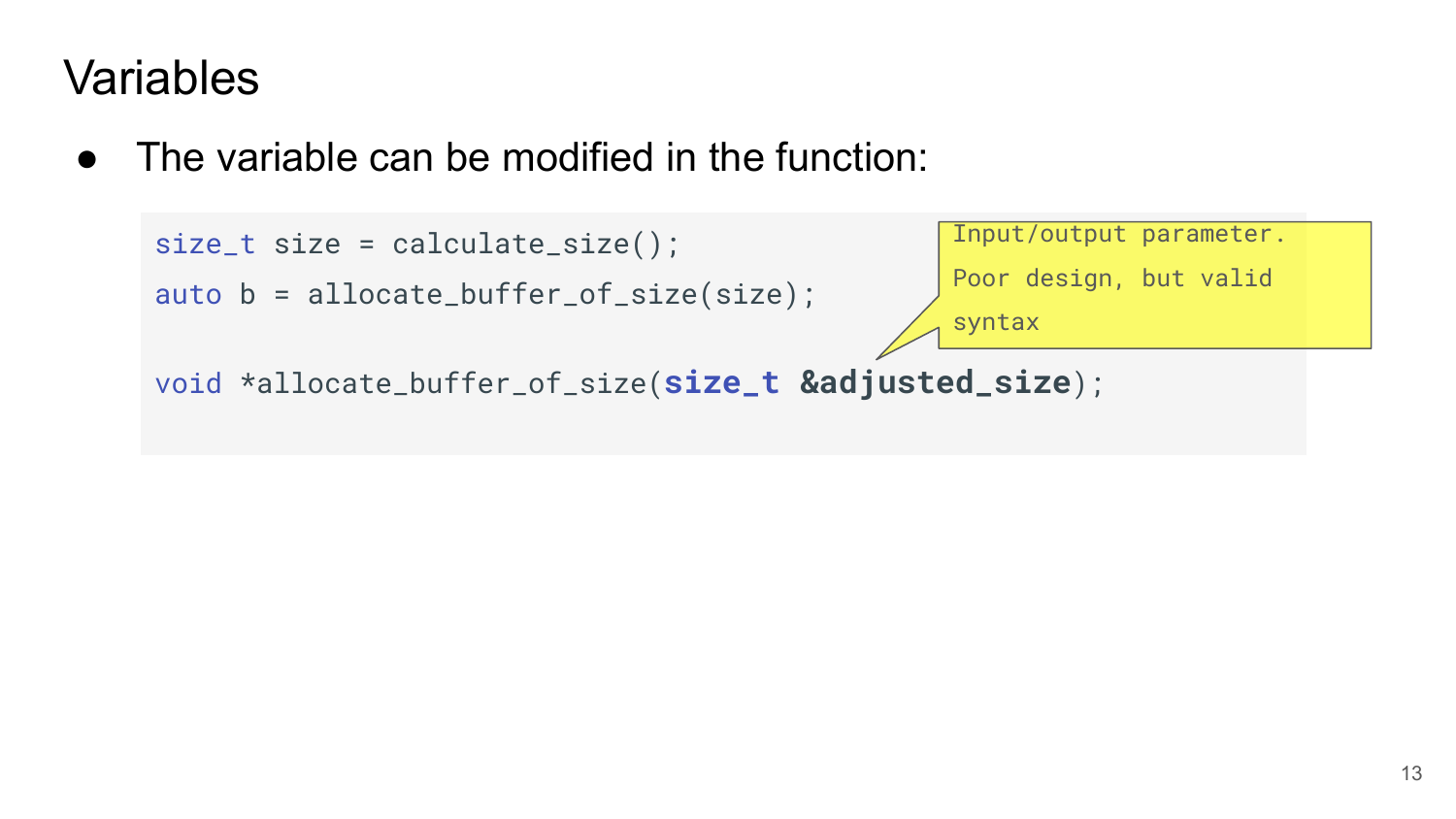• The variable can be modified in the function:

```
size_t size = calculate_size();
auto b = allocate_buffer_of_size(size);
void *allocate_buffer_of_size(size_t &adjusted_size);
                                                 Input/output parameter.
                                                 Poor design, but valid 
                                                 syntax
```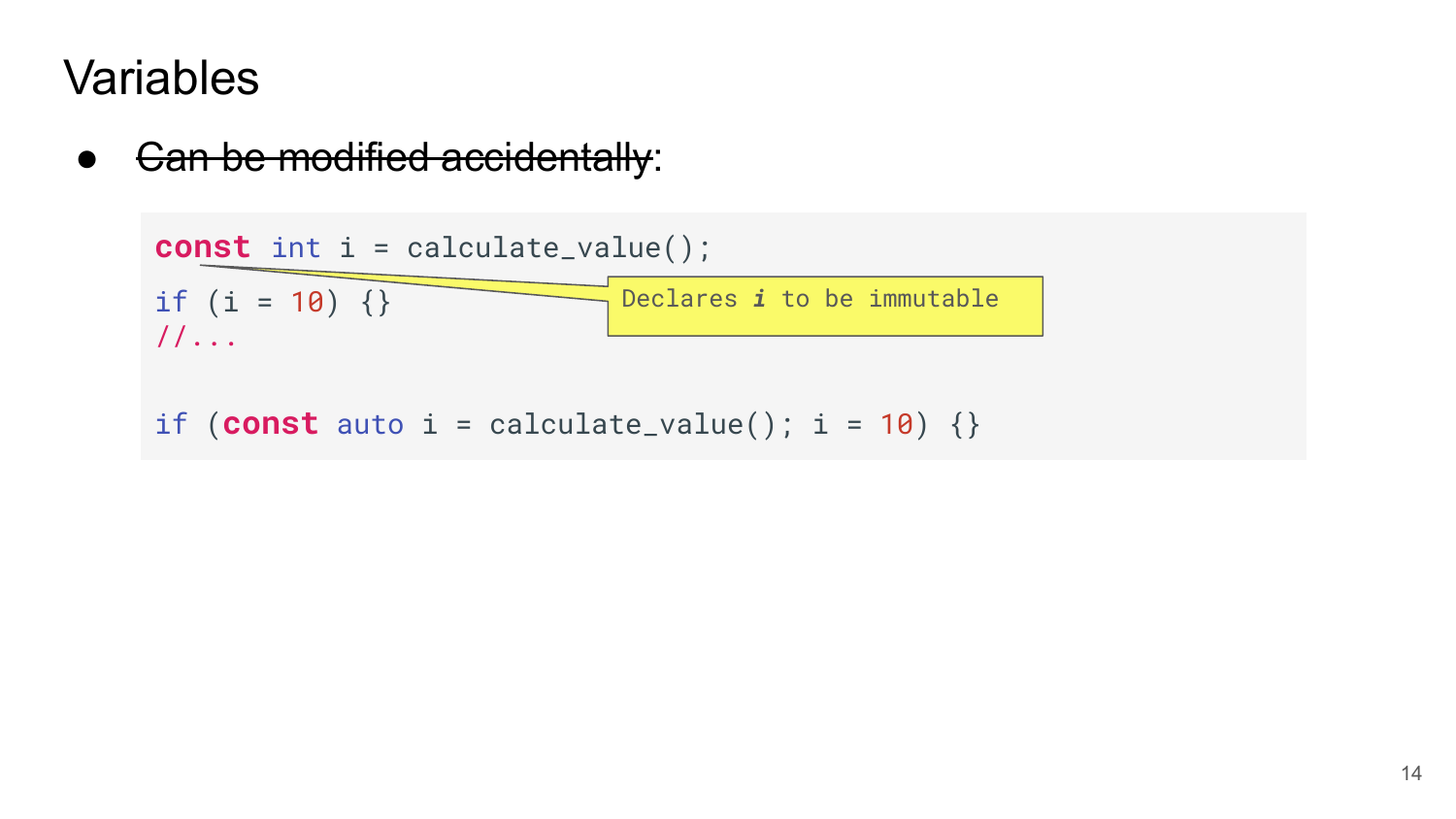Gan be modified accidentally:

```
const int i = calculate_value();
if (i = 10) \{\}//...
if (const auto i = calculate_value(); i = 10) {}
                             Declares i to be immutable
```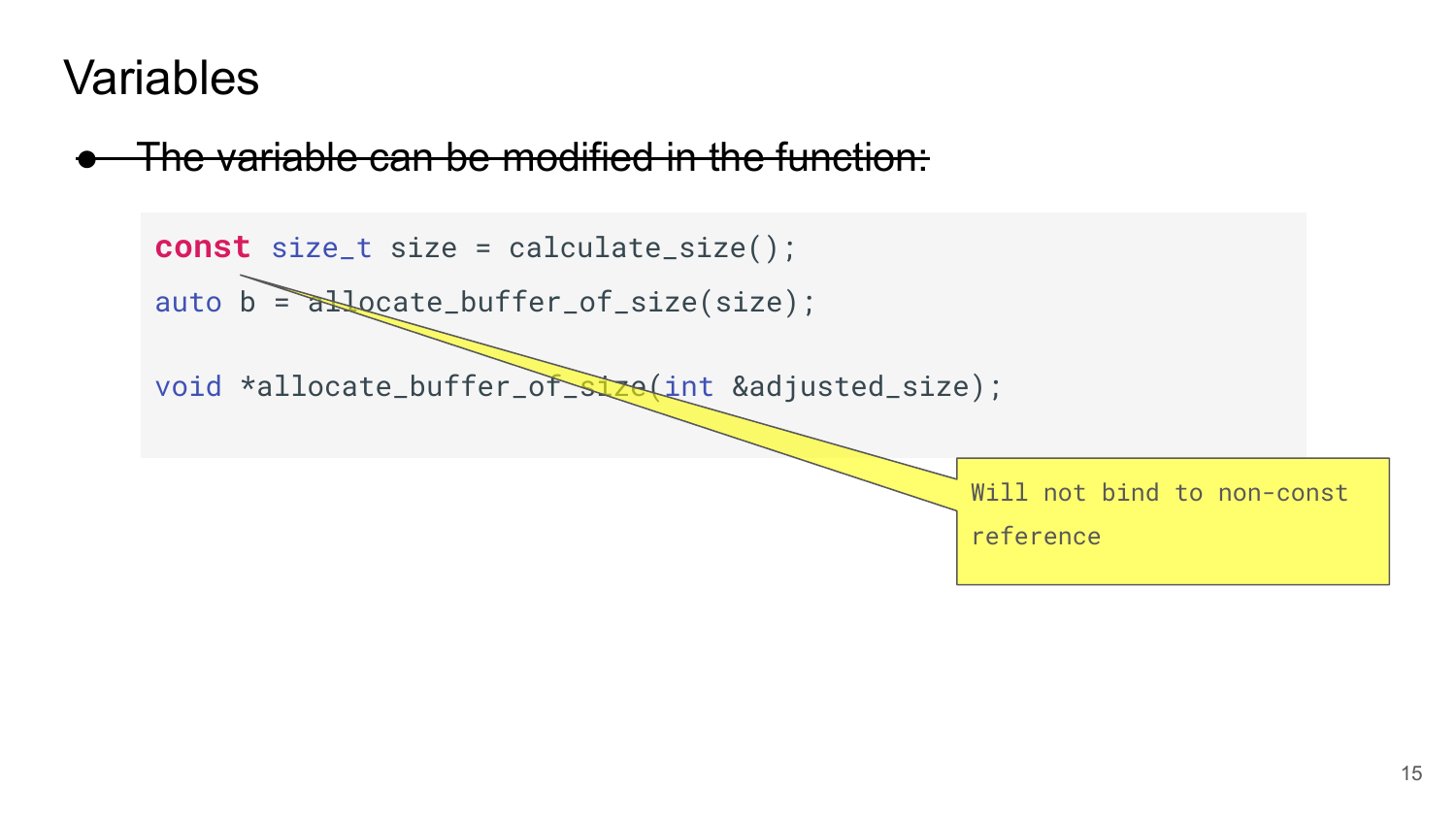#### The variable can be modified in the function:

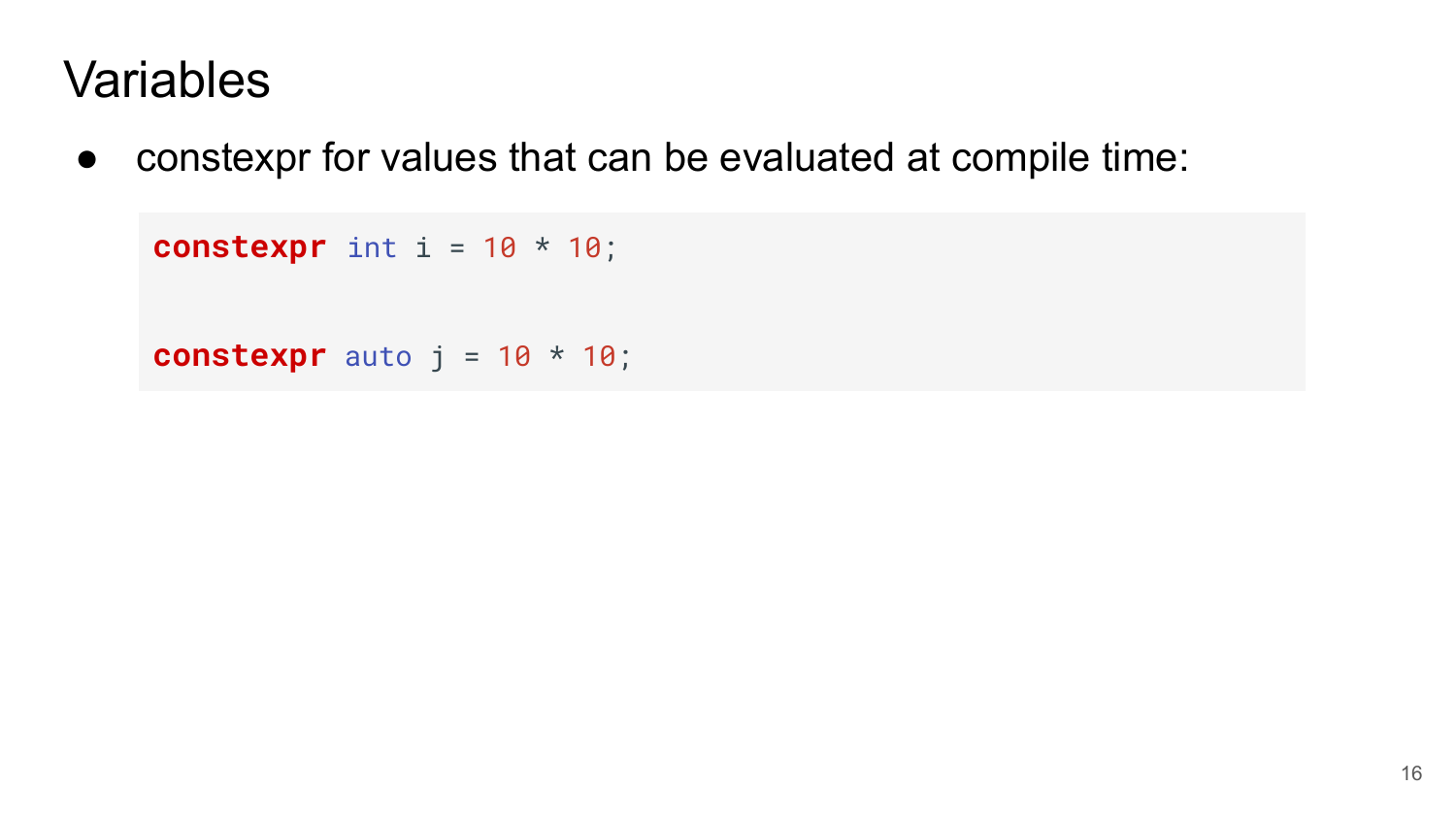● constexpr for values that can be evaluated at compile time:

```
 constexpr int i = 10 * 10;
constexpr auto j = 10 * 10;
```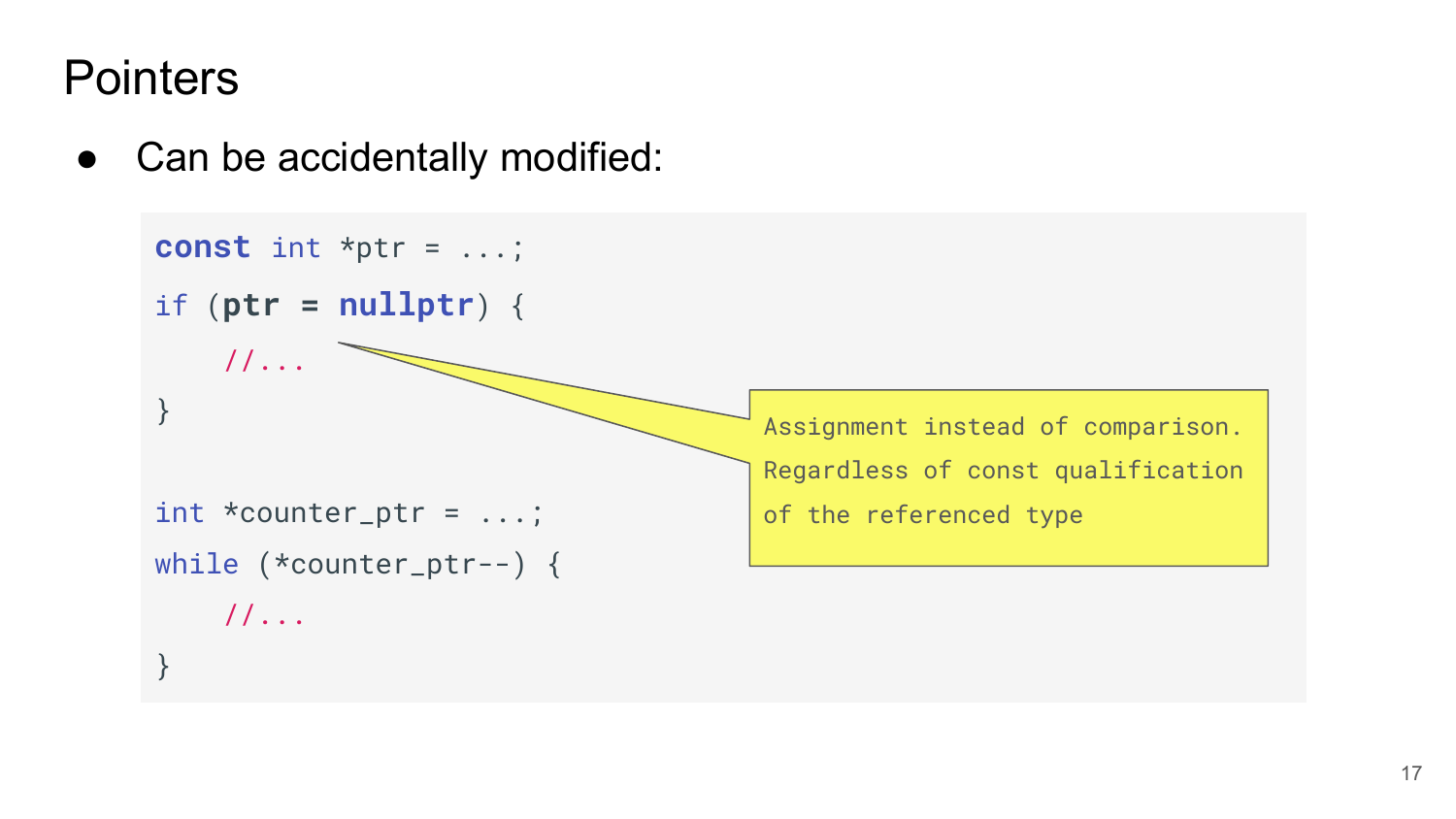#### **Pointers**

• Can be accidentally modified:

```
const int *ptr = ...;
if (ptr = nullptr) {
    1/\ldots}
int *counter\_ptr = ...;while (*counter_ptr--) {
     //...
}
                                       Assignment instead of comparison. 
                                       Regardless of const qualification 
                                       of the referenced type
```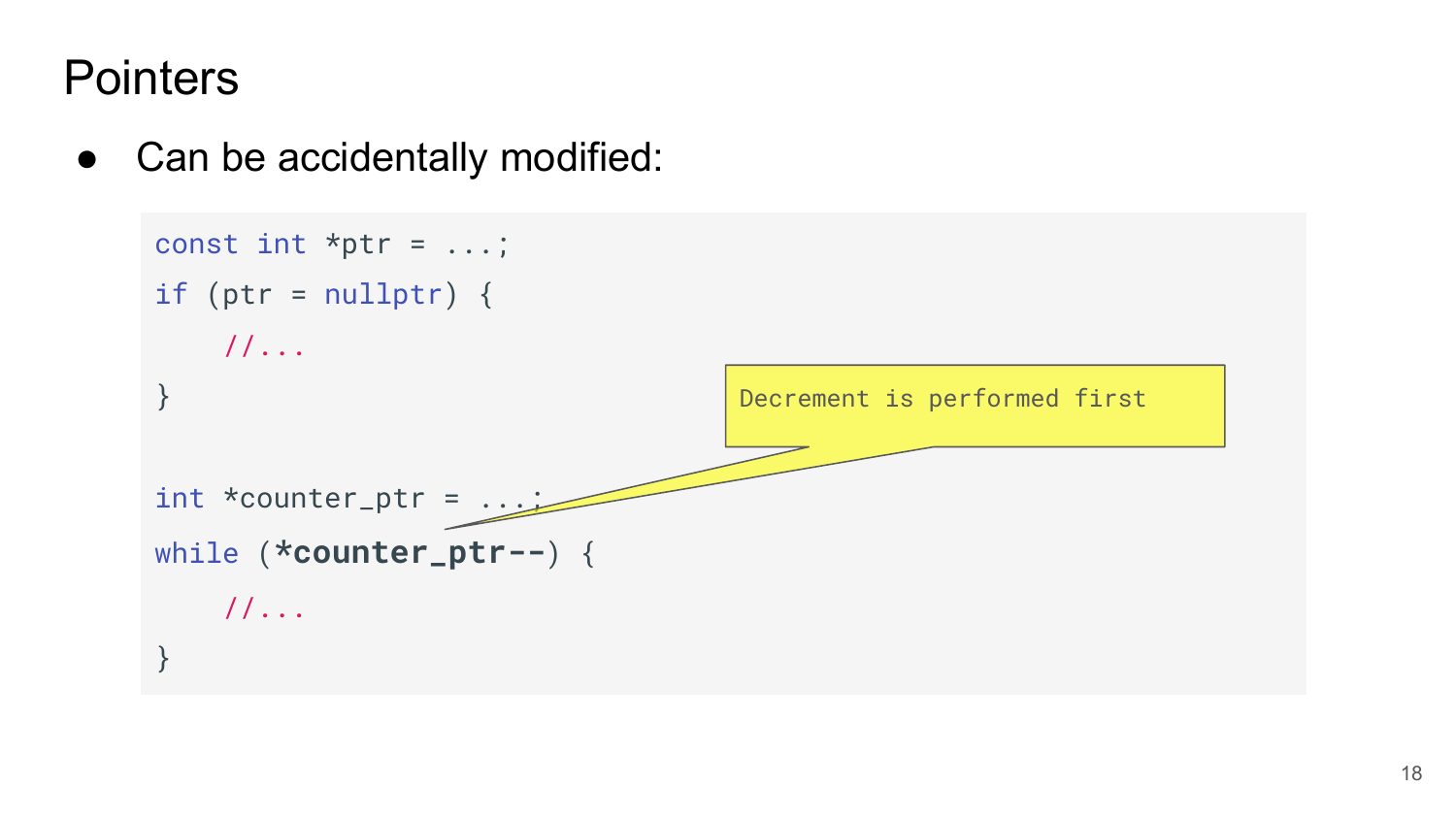#### **Pointers**

• Can be accidentally modified:

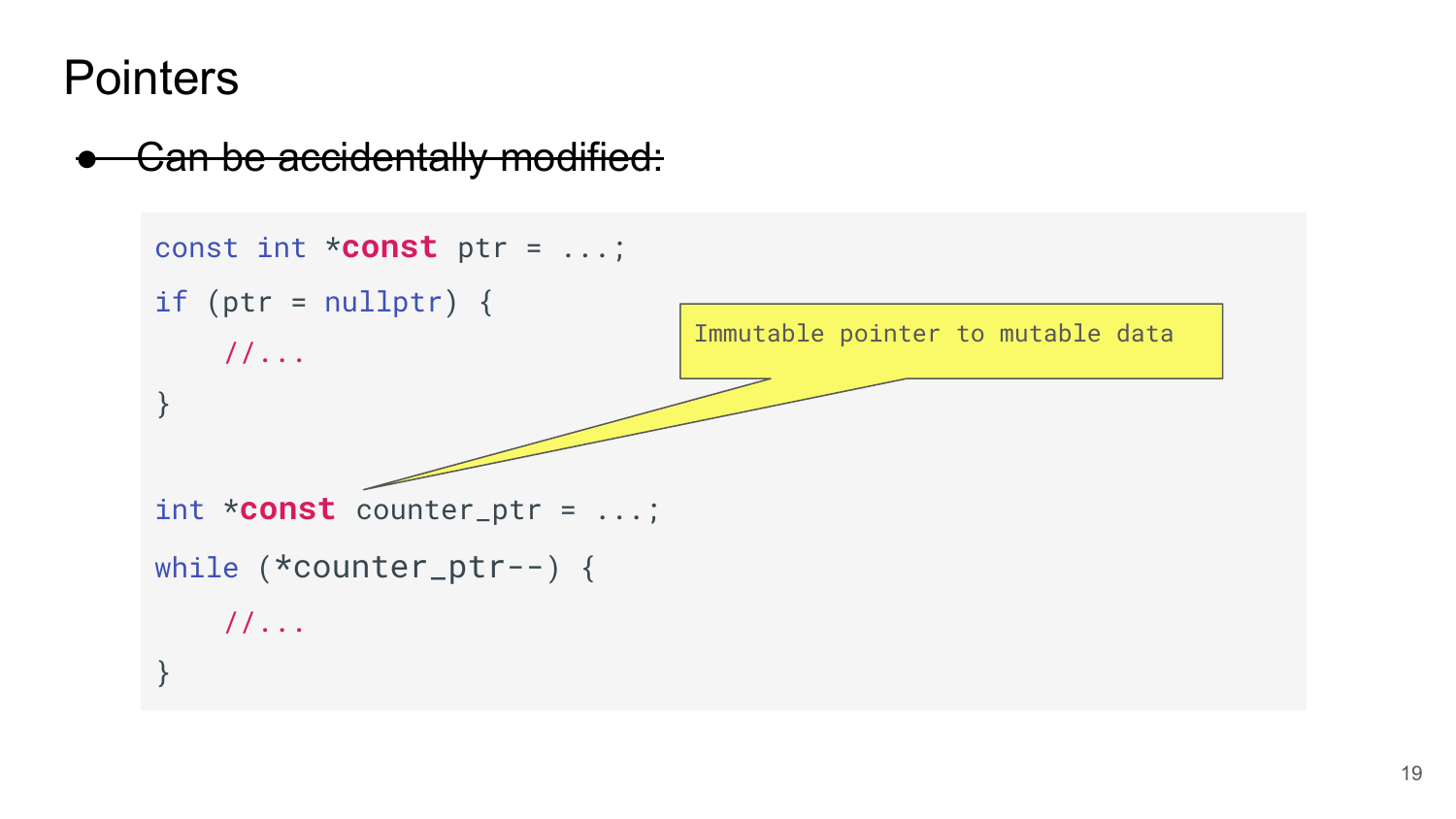**Pointers** 

#### **Can be accidentally modified:**

```
const int *const ptr = ...;
if (ptr = nullptr) {
    //...
}
int *const counter_ptr = ...;
while (*counter_ptr--) {
     //...
}
                                 Immutable pointer to mutable data
```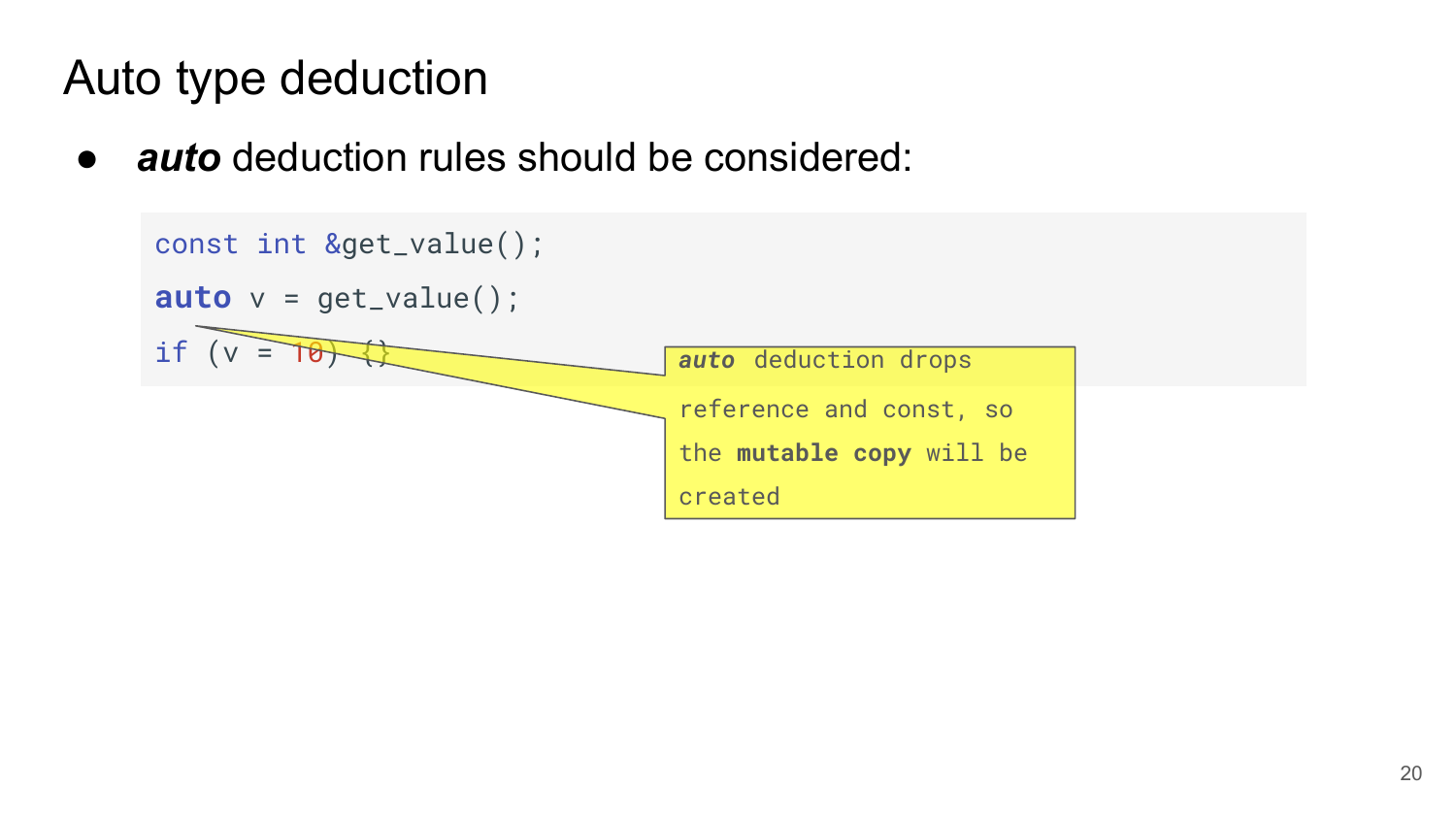● *auto* deduction rules should be considered:

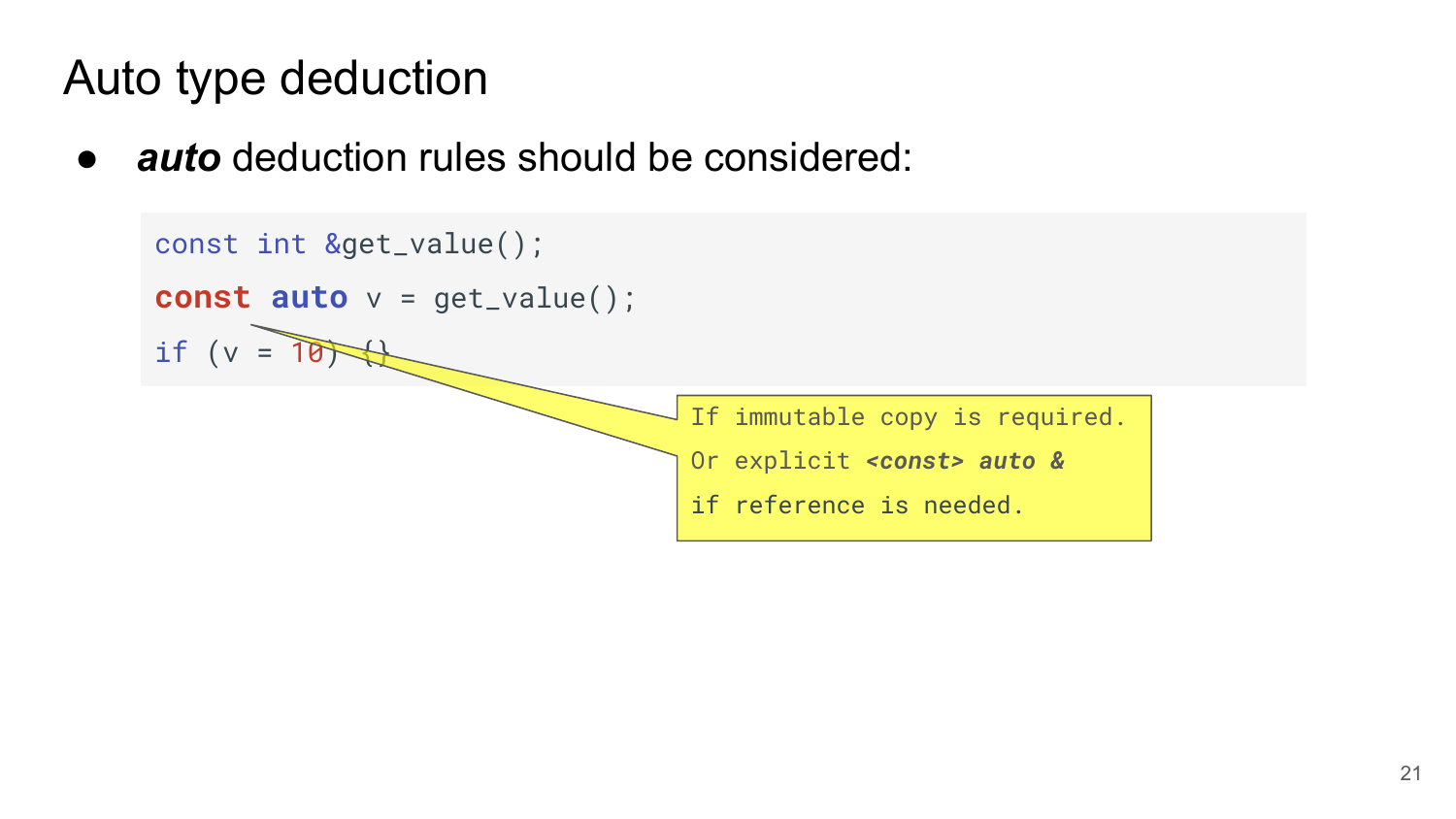● *auto* deduction rules should be considered:

```
const int &get_value();
const auto v = get_value();
if (v = 10)If immutable copy is required.
                                  Or explicit <const> auto & 
                                  if reference is needed.
```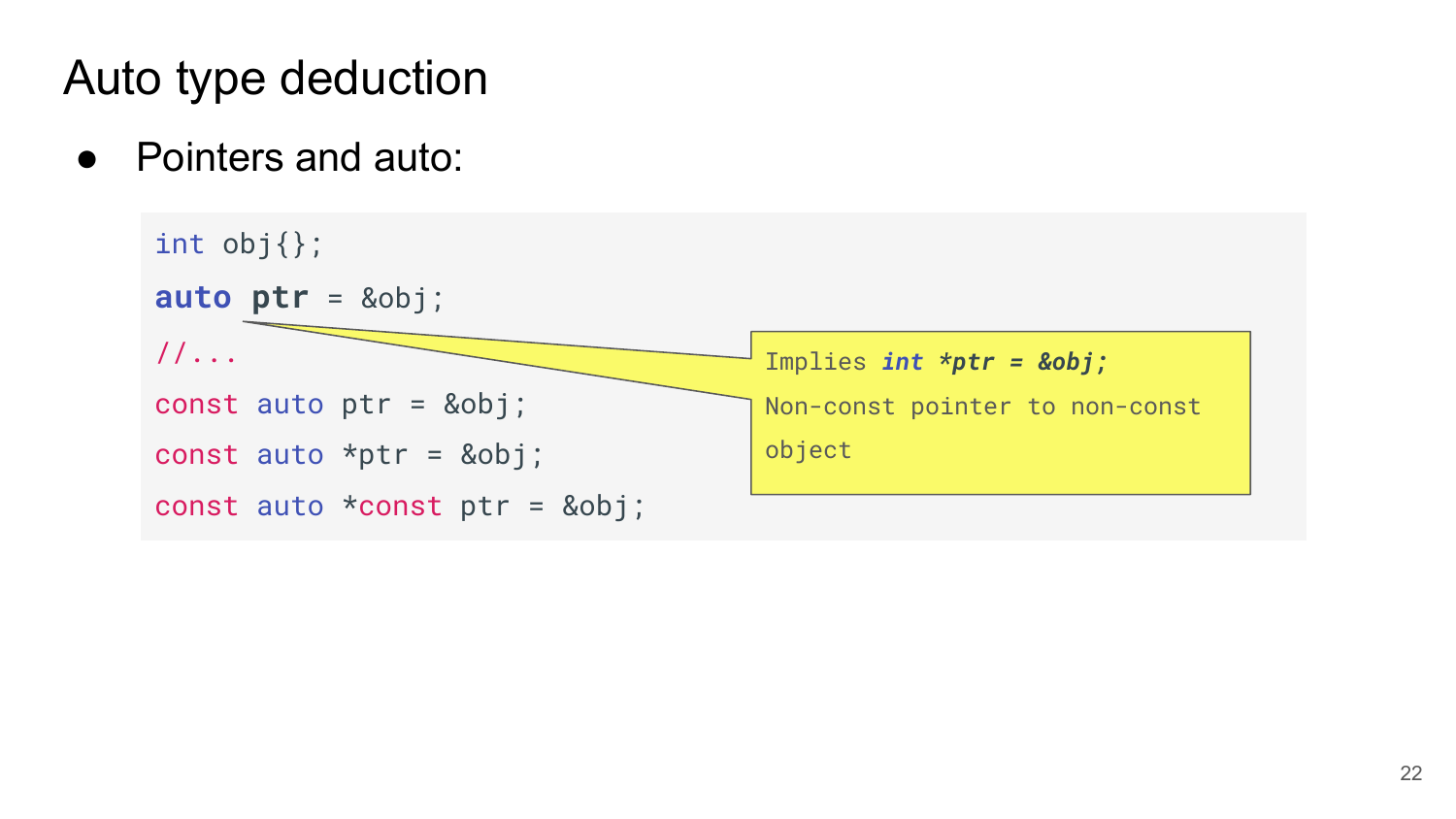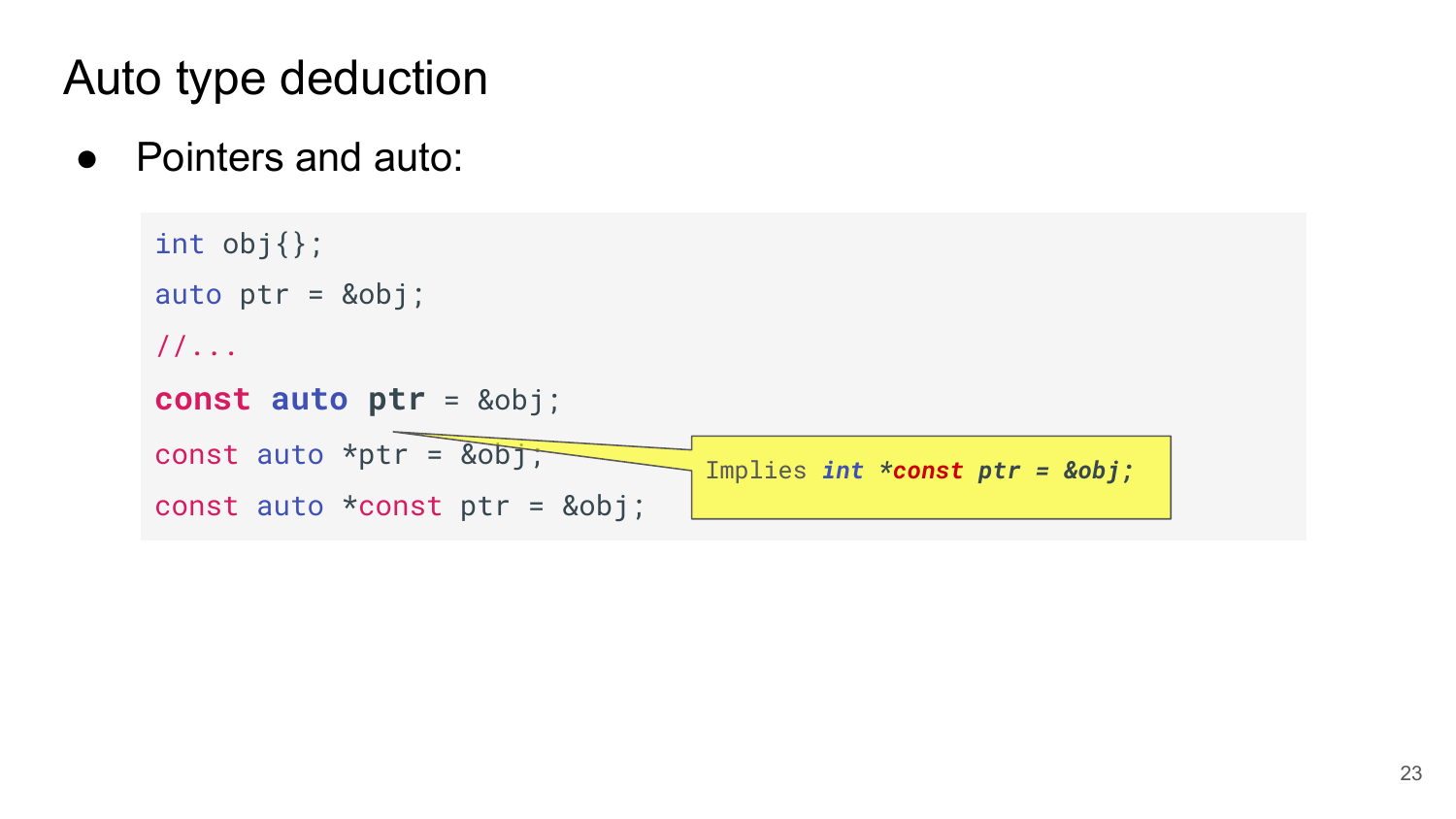```
int obj{};
auto ptr = &obj;//...
const auto ptr = &obj;
const auto *ptr = \overline{\&obj};
const auto *const ptr = &obj;
                                    Implies int *const ptr = &obj;
```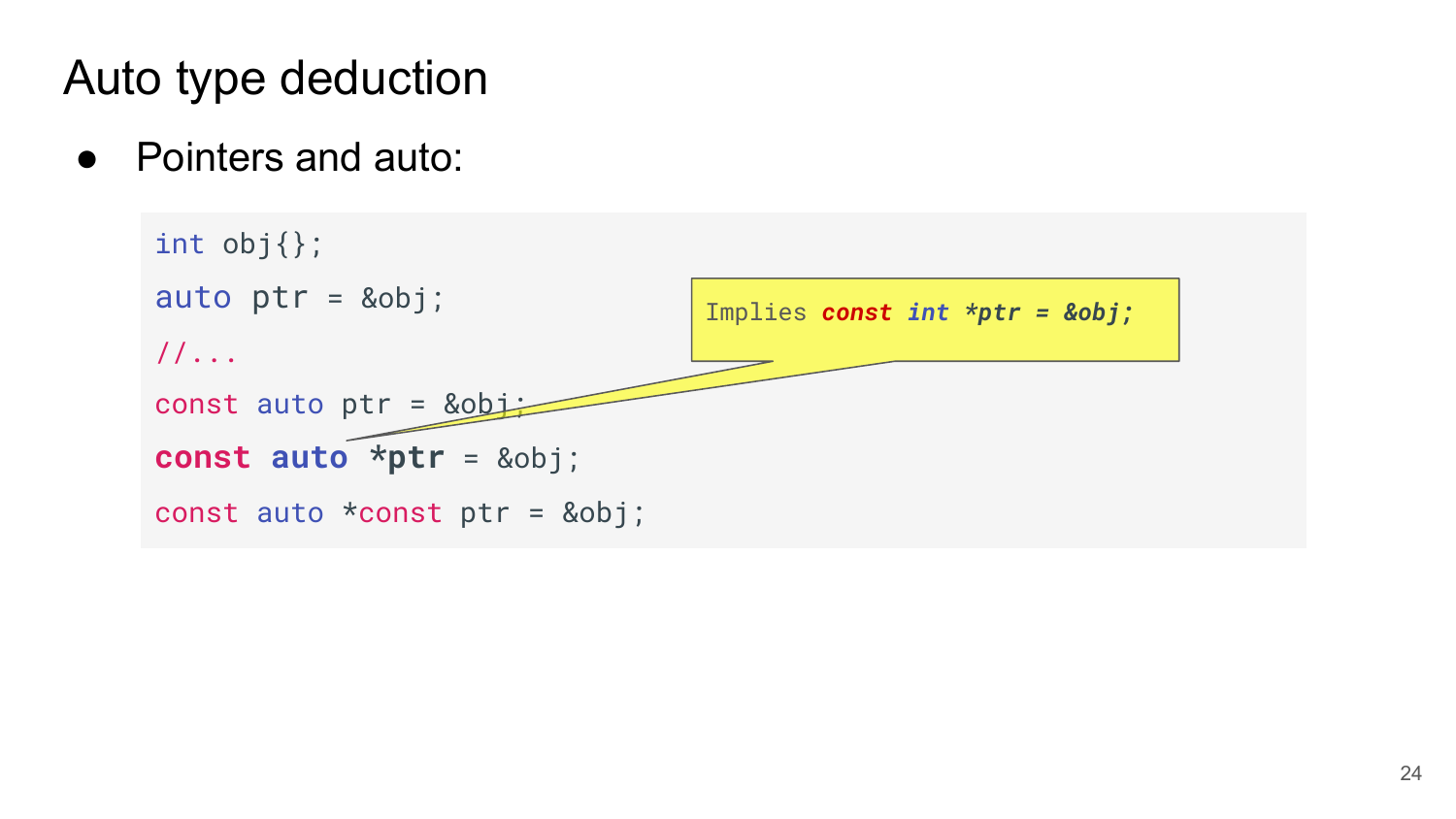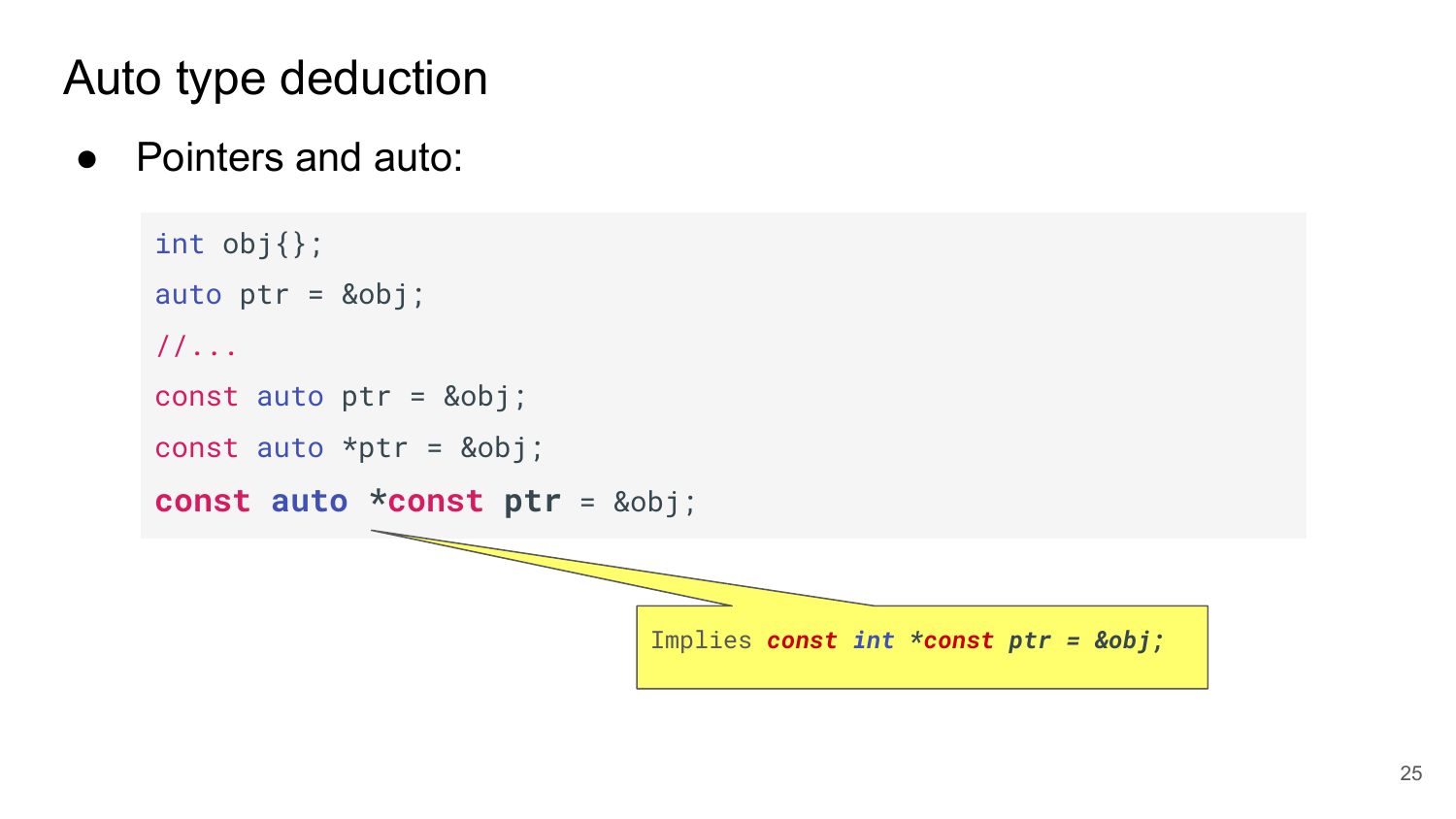```
int obj{};
auto ptr = &obj;//...
const auto ptr = &obj;
const auto *ptr = &obj;const auto *const ptr = &obj;
                              Implies const int *const ptr = &obj;
```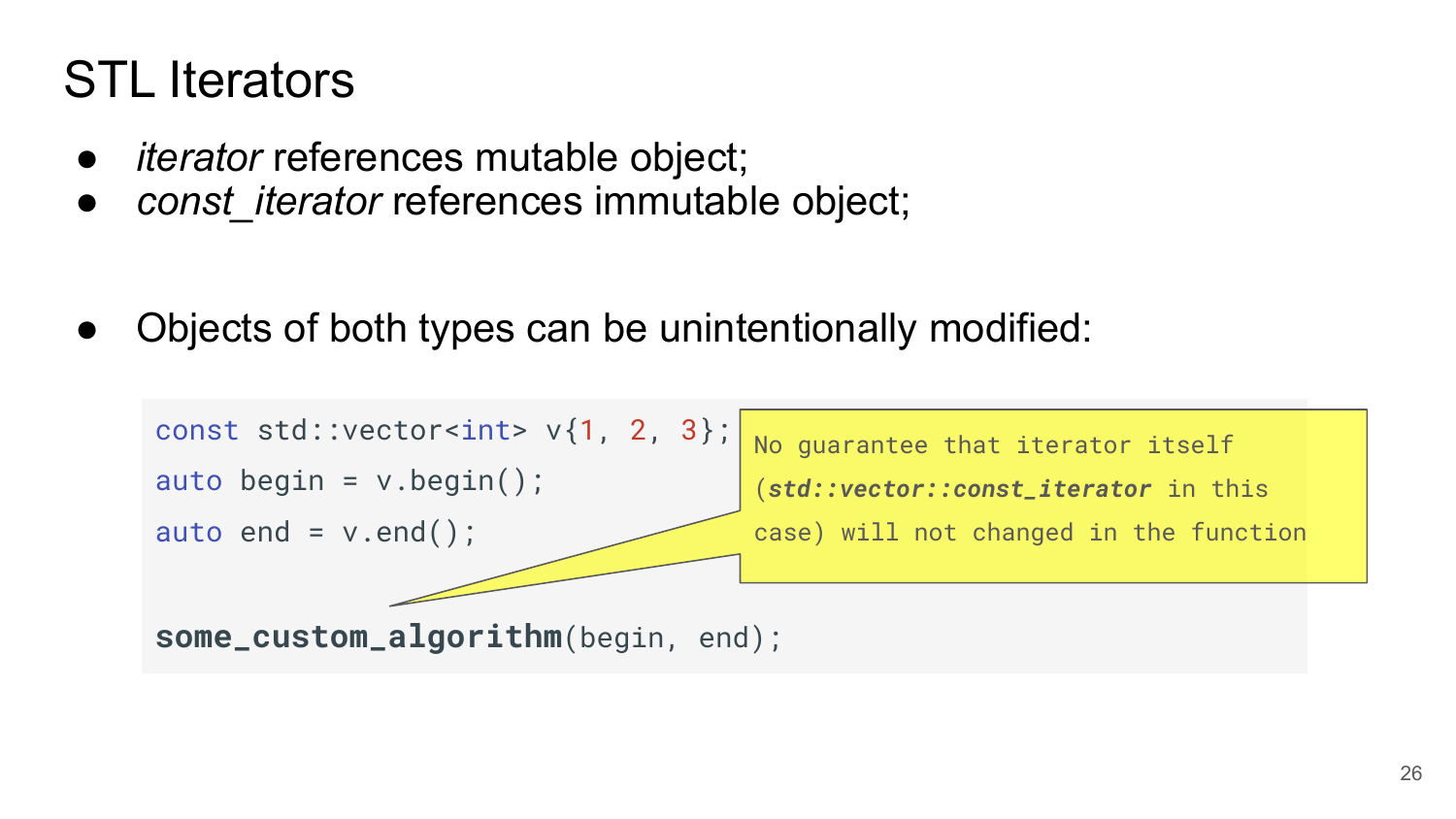# STL Iterators

- *iterator* references mutable object;
- *const iterator* references immutable object;

Objects of both types can be unintentionally modified:

```
const std::vector<int> v\{1, 2, 3\};
auto begin = v.\text{begin}();
auto end = v.end();
some_custom_algorithm(begin, end);
                                        No guarantee that iterator itself 
                                        (std::vector::const_iterator in this 
                                        case) will not changed in the function
```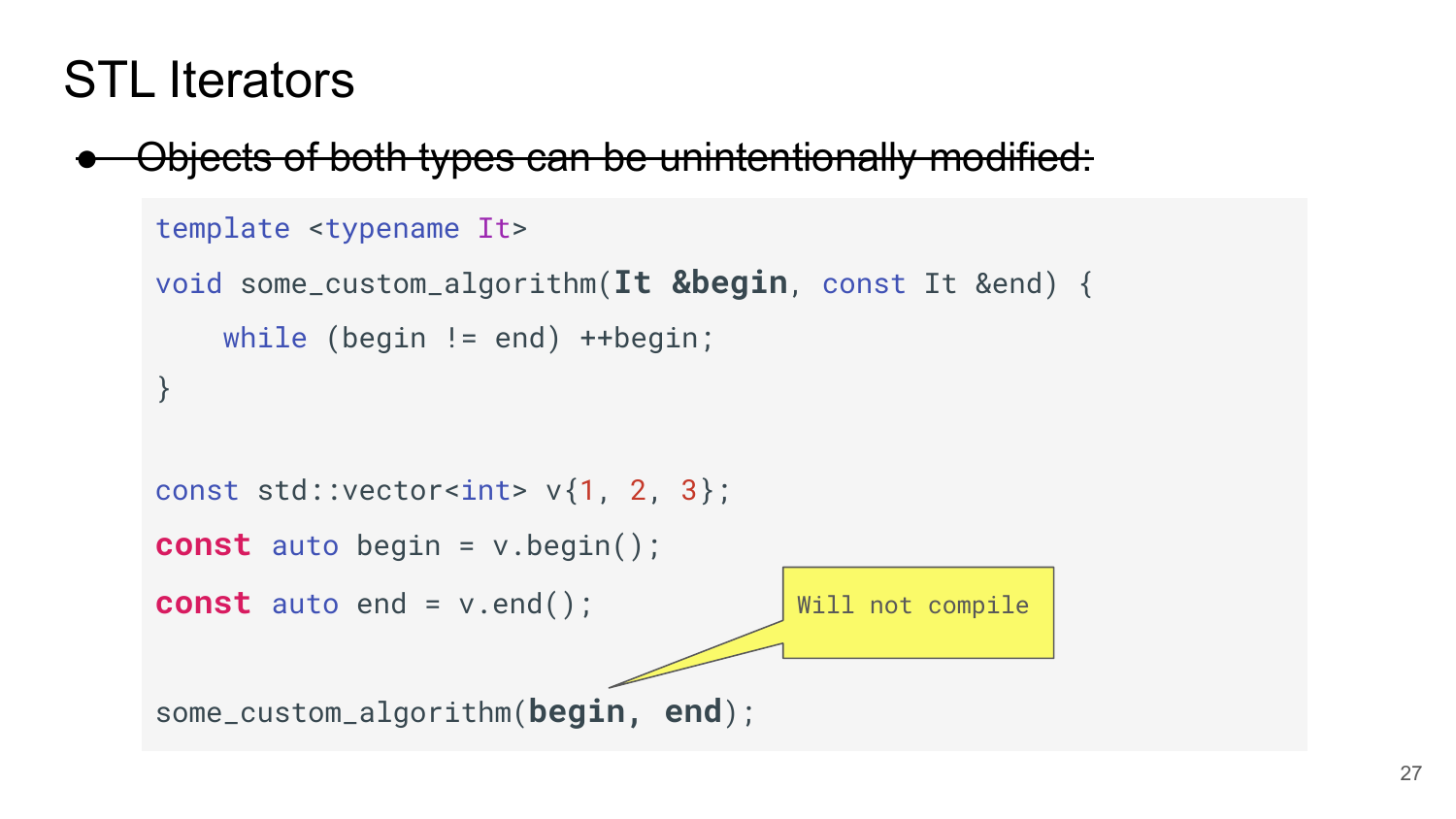#### STL Iterators

Objects of both types can be unintentionally modified:

```
template <typename It>
void some_custom_algorithm(It &begin, const It &end) {
     while (begin != end) ++begin;
}
const std::vector<int> v{1, 2, 3};
const auto begin = v.begin();
const auto end = v.end();
some_custom_algorithm(begin, end);
                                      Will not compile
```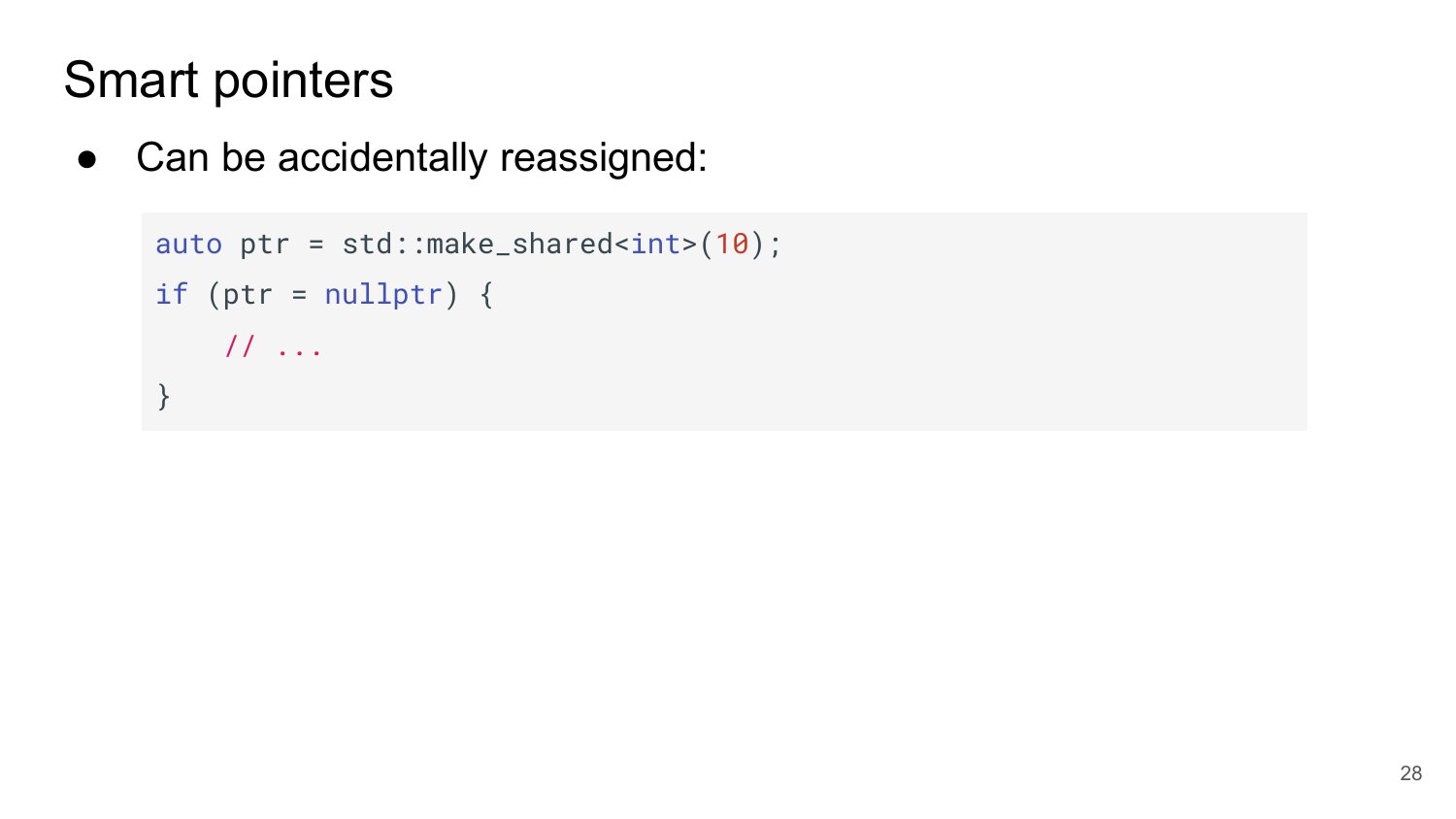#### Smart pointers

• Can be accidentally reassigned:

```
auto ptr = std::make\_shared<int>(10);if (ptr = nullptr) {
    // ...
}
```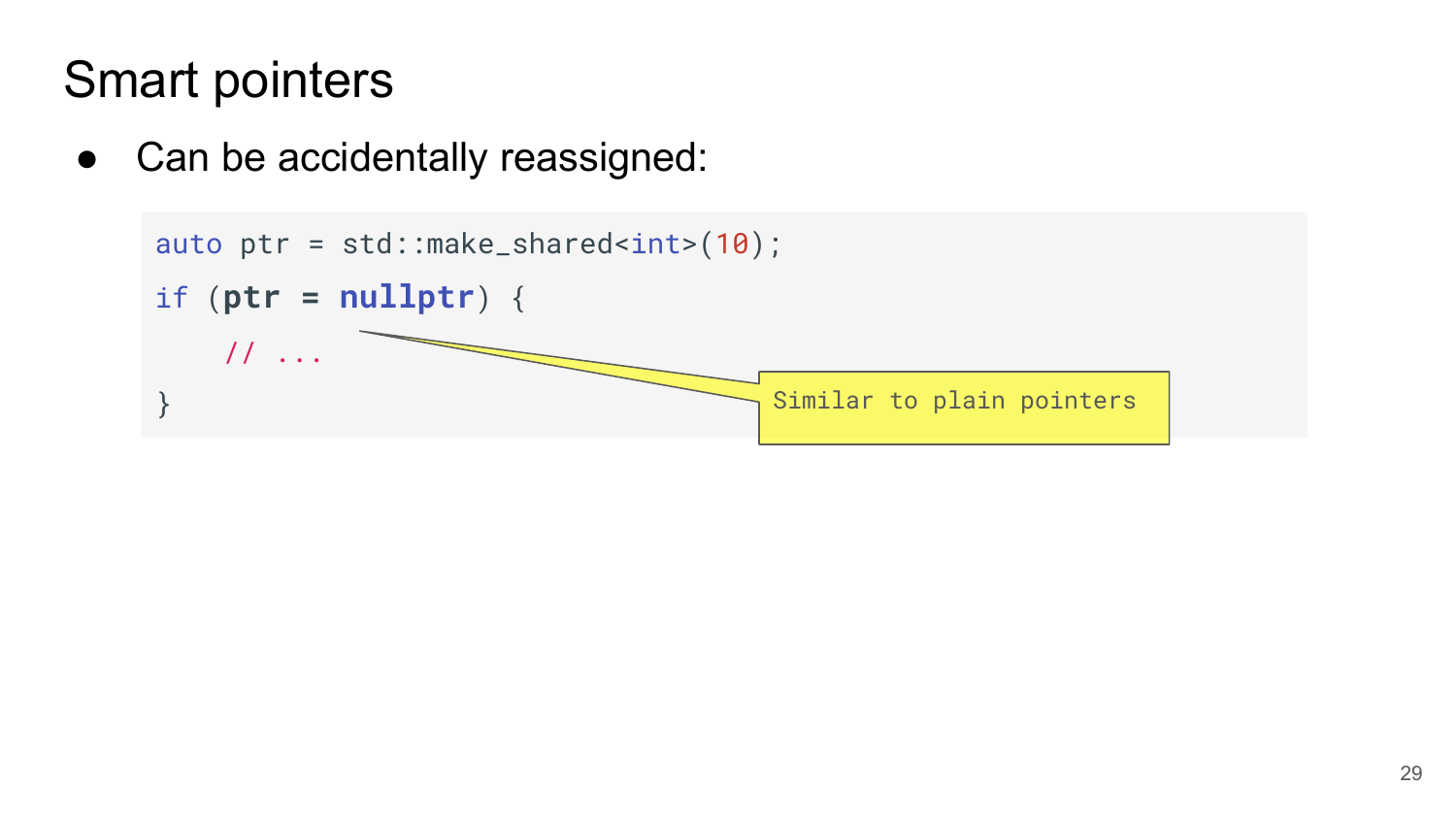#### Smart pointers

● Can be accidentally reassigned:

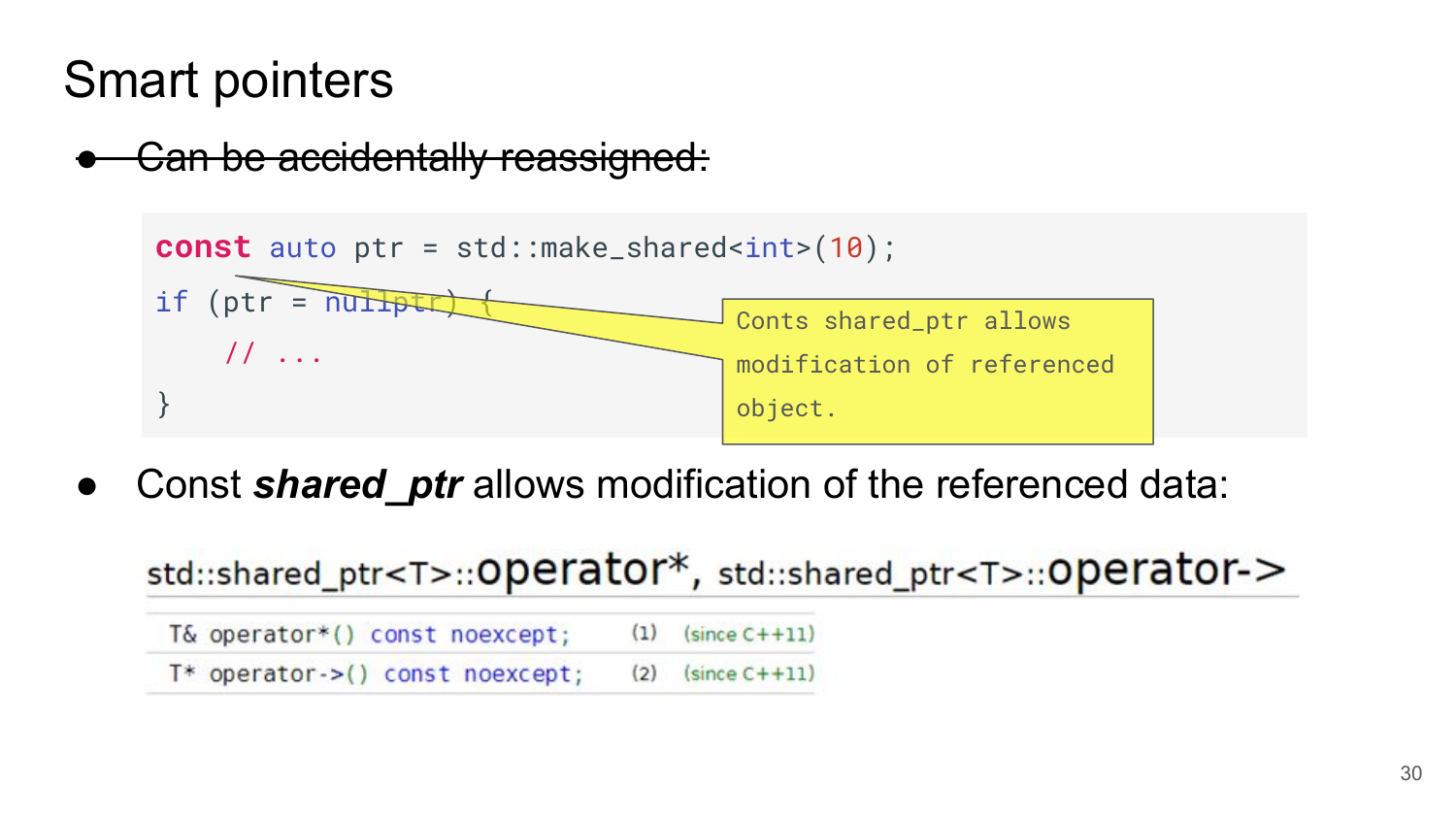#### Smart pointers





Const **shared\_ptr** allows modification of the referenced data:

| std::shared_ptr <t>::Operator*, std::shared_ptr<t>::Operator-&gt;</t></t> |  |                       |  |
|---------------------------------------------------------------------------|--|-----------------------|--|
| T& operator*() const noexcept;                                            |  | $(1)$ (since $C+11$ ) |  |
| $T^*$ operator->() const noexcept;                                        |  | $(2)$ (since $C+11$ ) |  |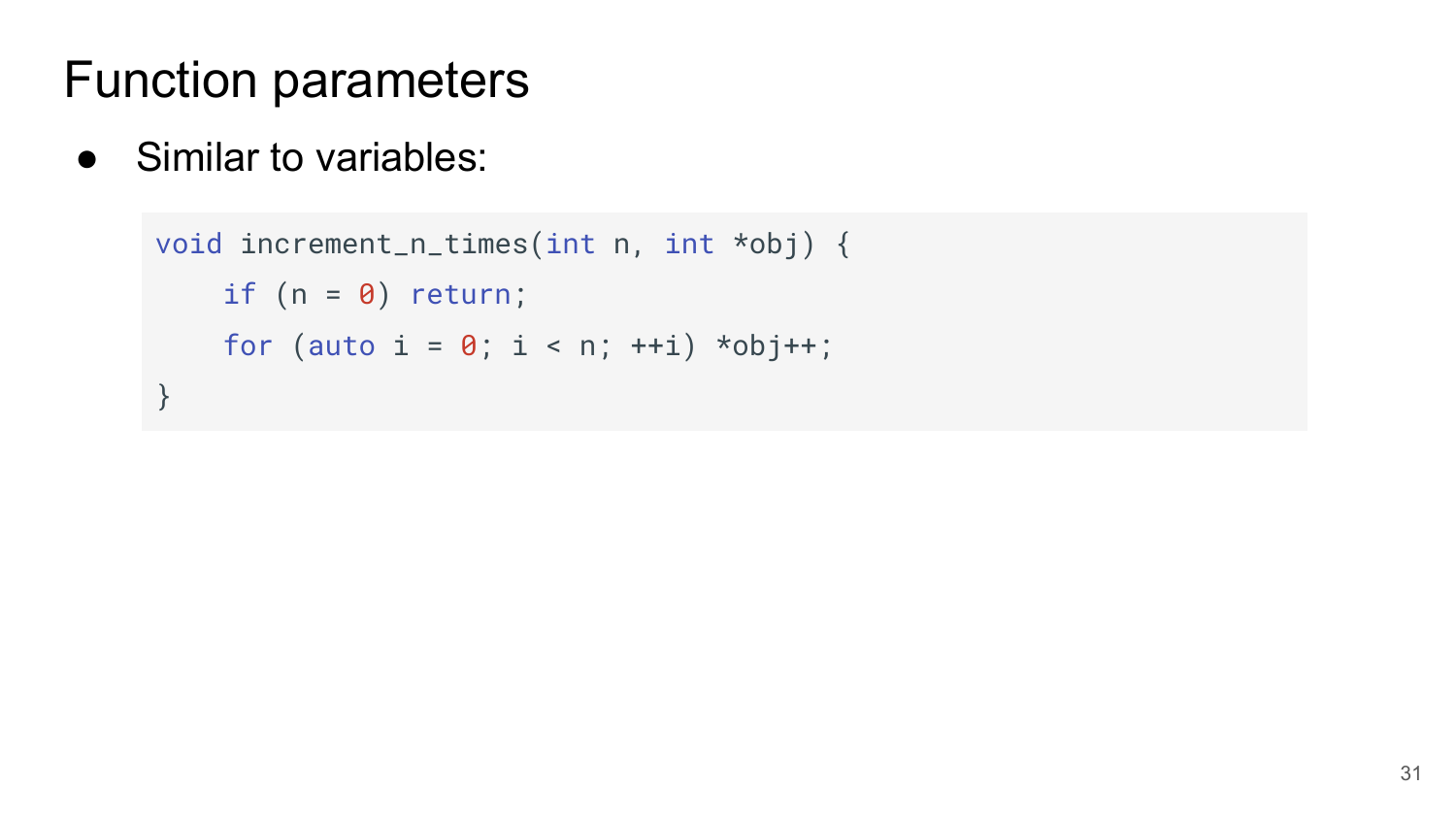● Similar to variables:

```
 void increment_n_times(int n, int *obj) {
    if (n = 0) return;
    for (auto i = 0; i < n; ++i) *obj++;
}
```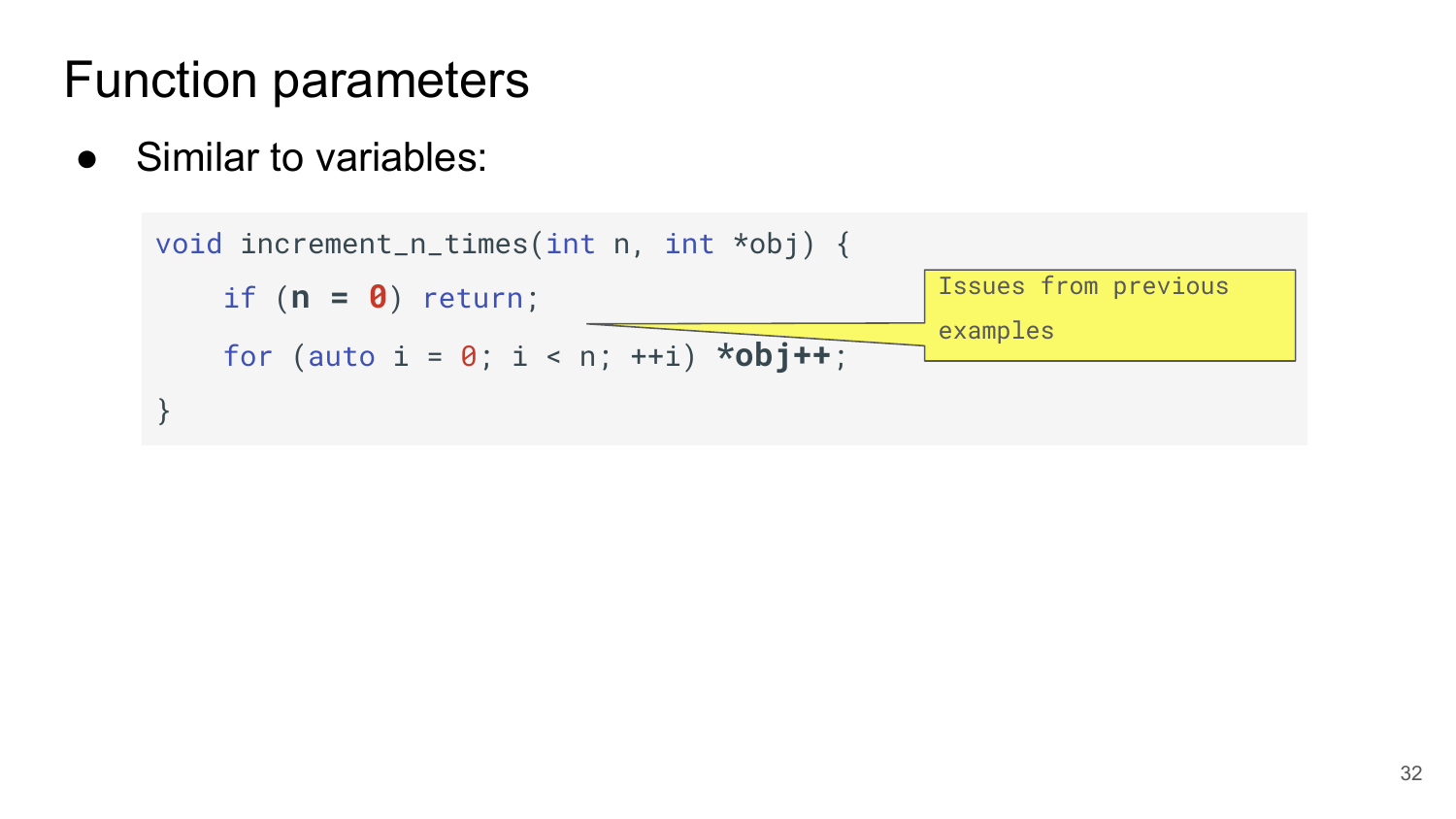• Similar to variables:

```
 void increment_n_times(int n, int *obj) {
     if (n = 0) return;
     for (auto i = 0; i < n; ++i) *obj++;
}
                                                 Issues from previous 
                                                 examples
```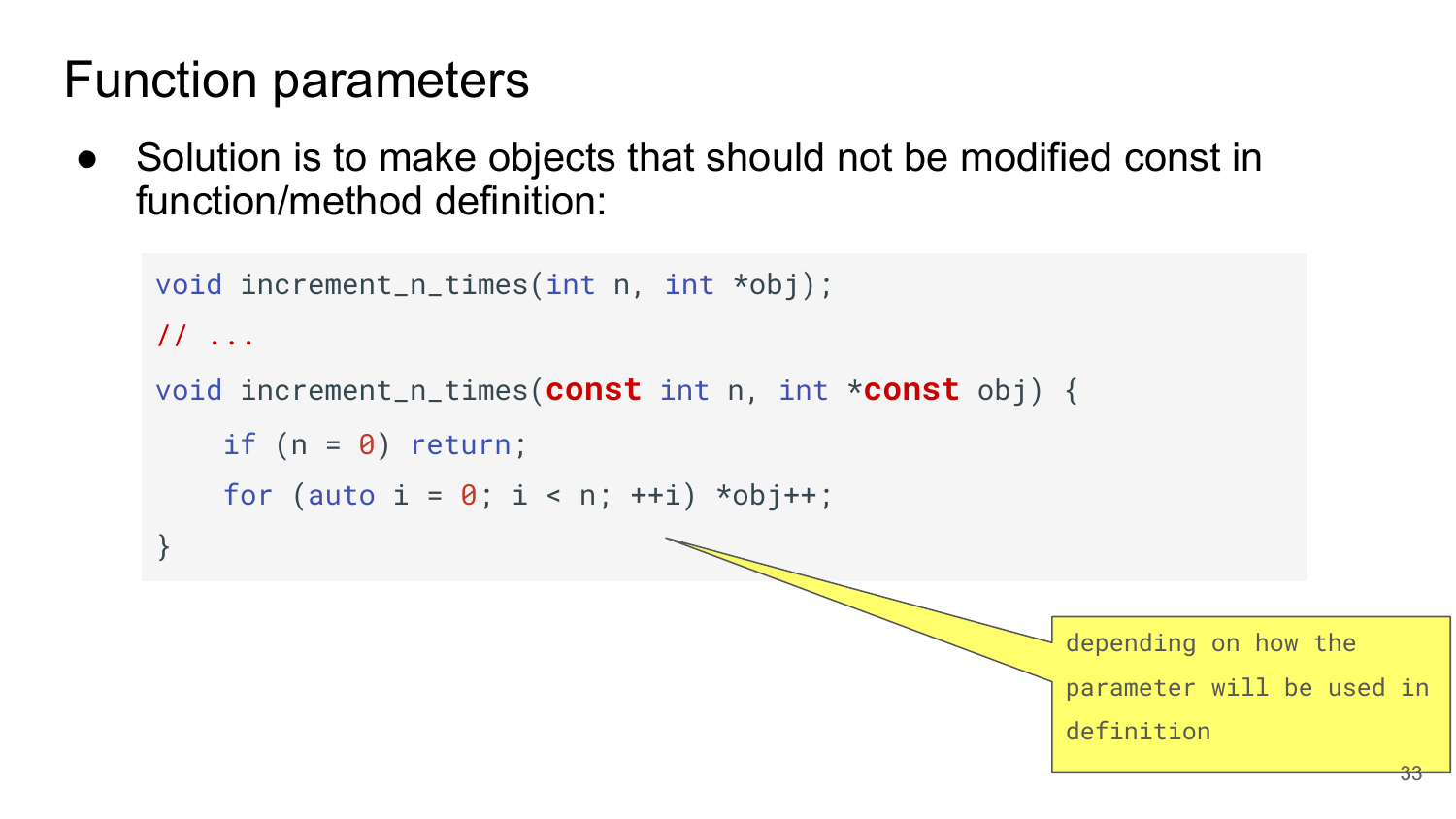• Solution is to make objects that should not be modified const in function/method definition:

```
 void increment_n_times(int n, int *obj);
// ...
void increment_n_times(const int n, int *const obj) {
    if (n = 0) return;
    for (auto i = 0; i < n; ++i) *obj++;
}
                                                         depending on how the 
                                                         parameter will be used in 
                                                         definition
                                                                               33
```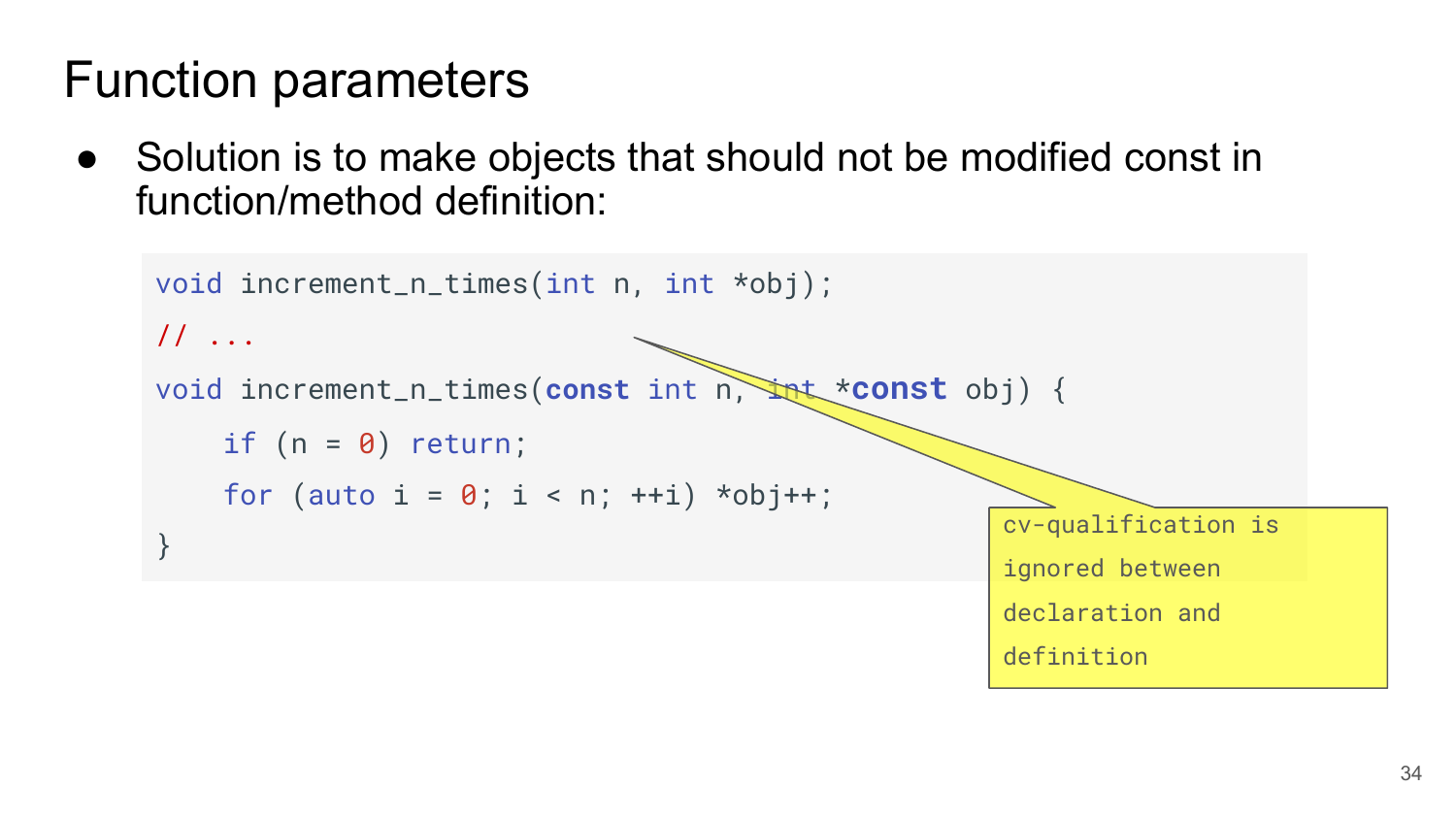Solution is to make objects that should not be modified const in function/method definition:

```
 void increment_n_times(int n, int *obj);
// ...
void increment_n_times(const int n, int *const obj) {
    if (n = 0) return;
    for (auto i = 0; i < n; ++i) *obj++;
}
                                                      cv-qualification is 
                                                      ignored between 
                                                      declaration and 
                                                      definition
```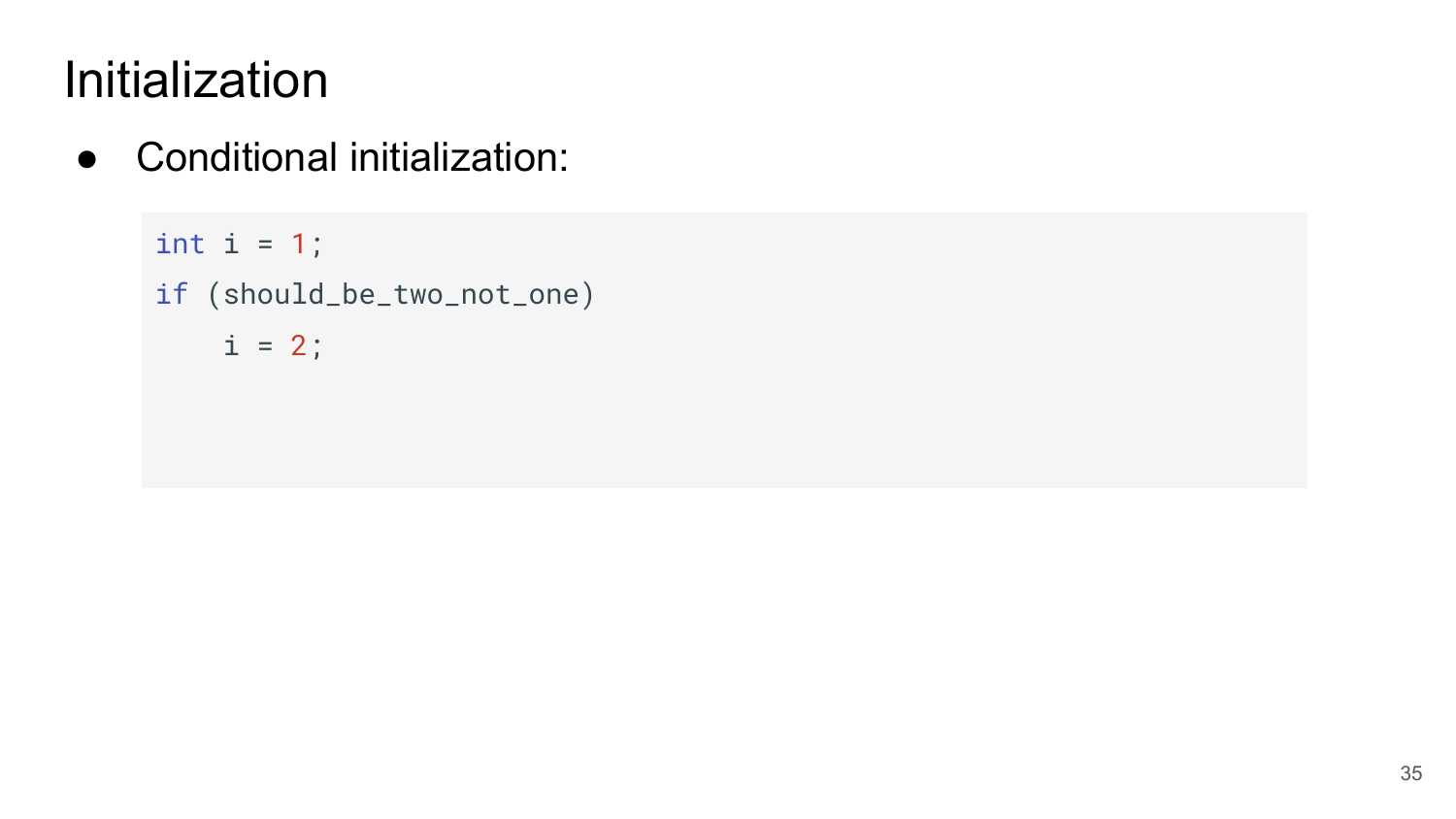● Conditional initialization:

```
int i = 1;
if (should_be_two_not_one)
   i = 2;
```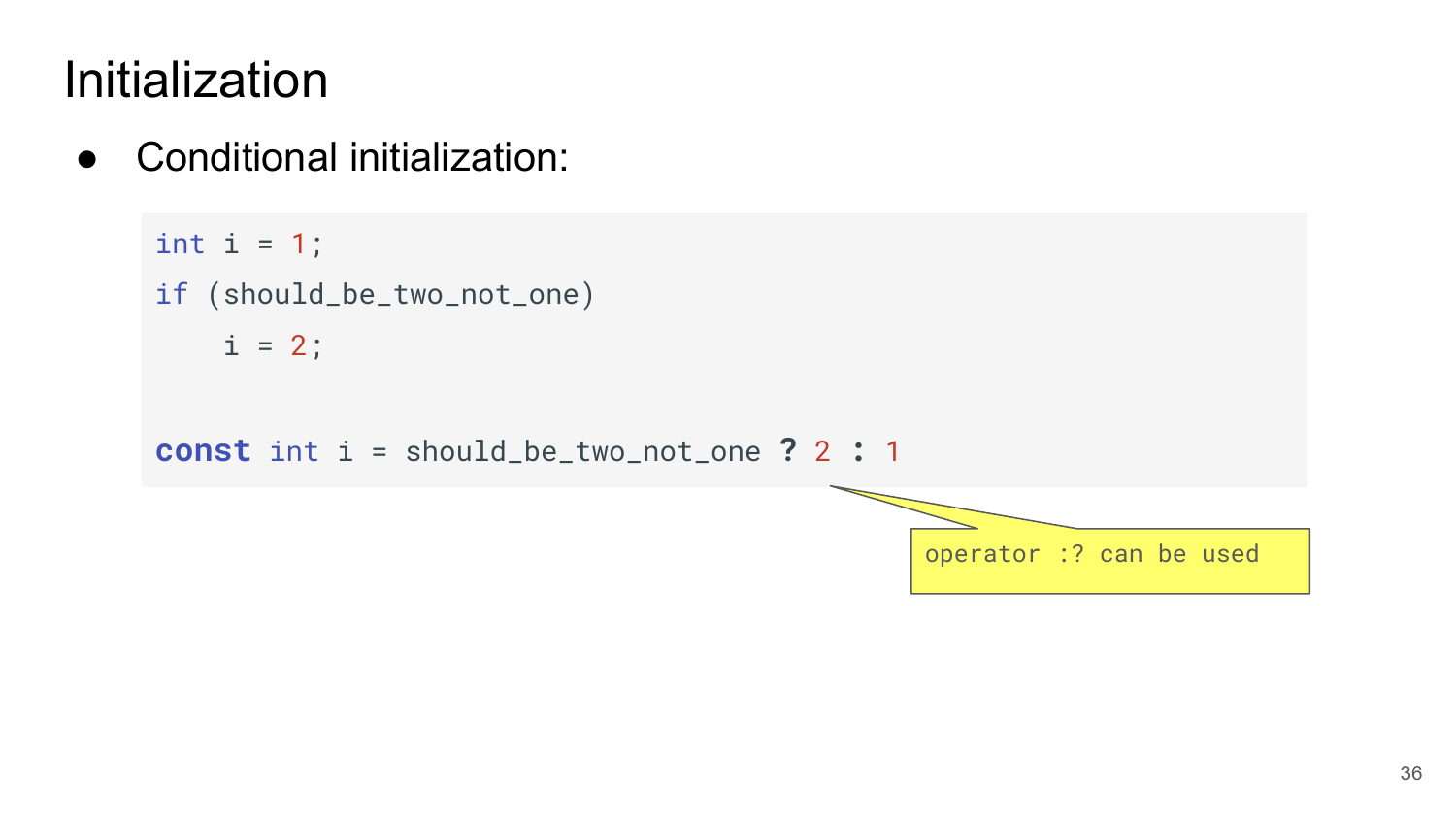● Conditional initialization:

```
int i = 1;
if (should_be_two_not_one)
   i = 2;const int i = should_be_two_not_one ? 2 : 1
```
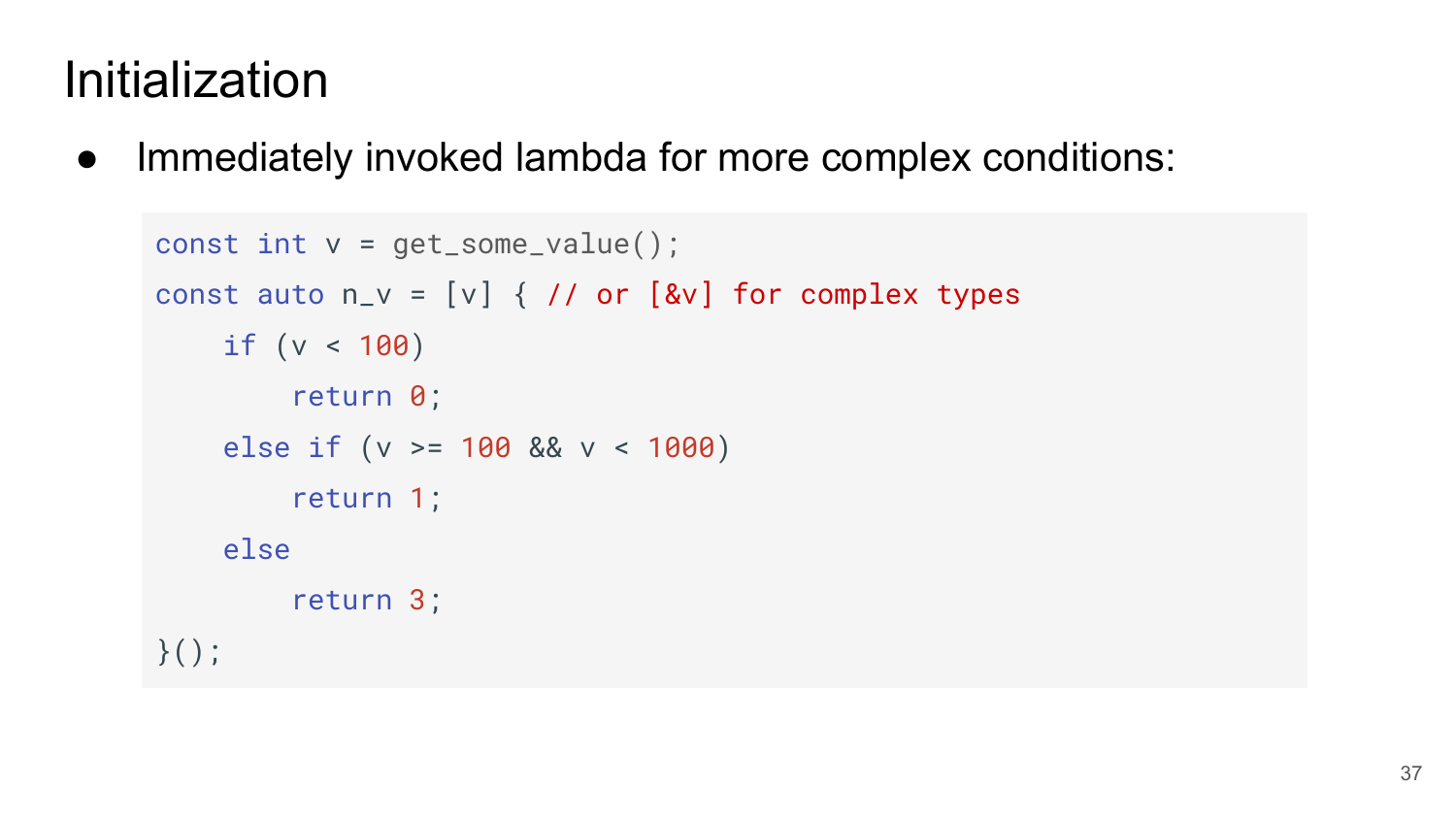● Immediately invoked lambda for more complex conditions:

```
const int v = get\_some\_value();
const auto n_v = [v] { // or [\&v] for complex types
     if (v < 100) 
         return 0;
     else if (v >= 100 && v < 1000)
         return 1;
     else 
         return 3;
\}();
```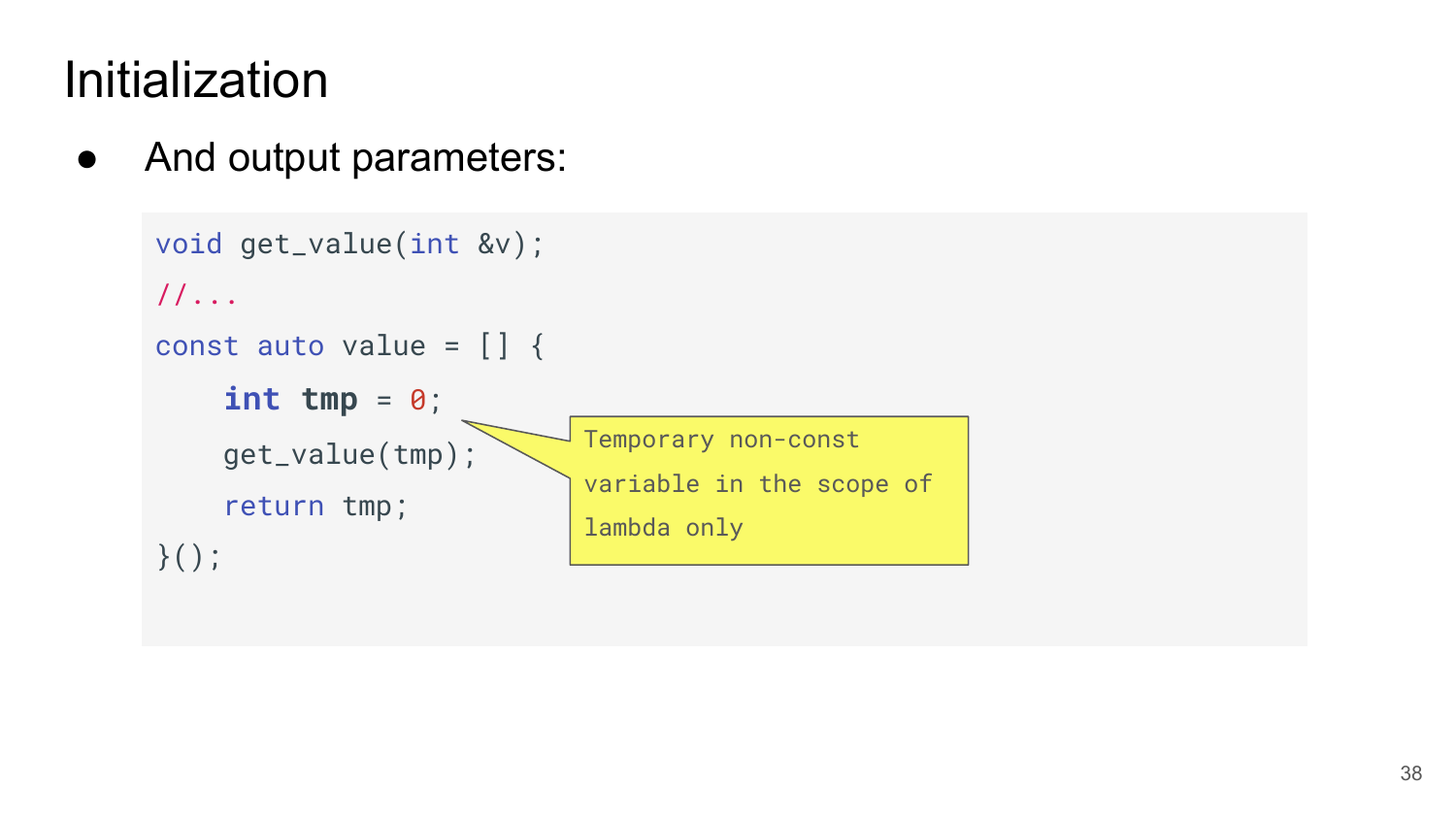• And output parameters:

```
 void get_value(int &v);
//...
const auto value = \begin{bmatrix} \end{bmatrix} {
      int tmp = 0;
      get_value(tmp);
      return tmp;
}();
                                 Temporary non-const 
                                 variable in the scope of 
                                 lambda only
```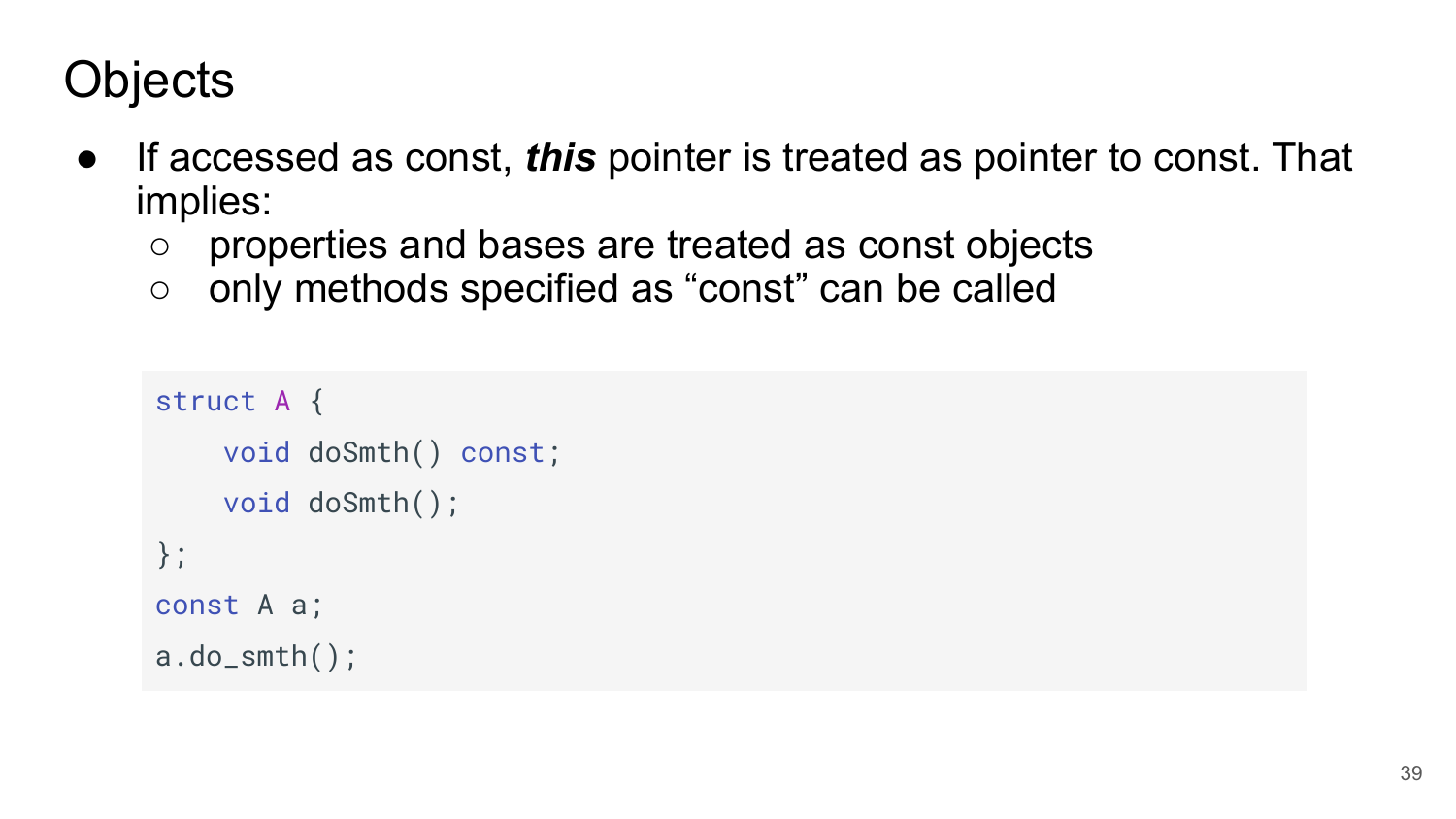# **Objects**

- If accessed as const, *this* pointer is treated as pointer to const. That implies:
	- properties and bases are treated as const objects
	- only methods specified as "const" can be called

```
struct A {
     void doSmth() const;
     void doSmth();
};
const A a;
a.do\_smth();
```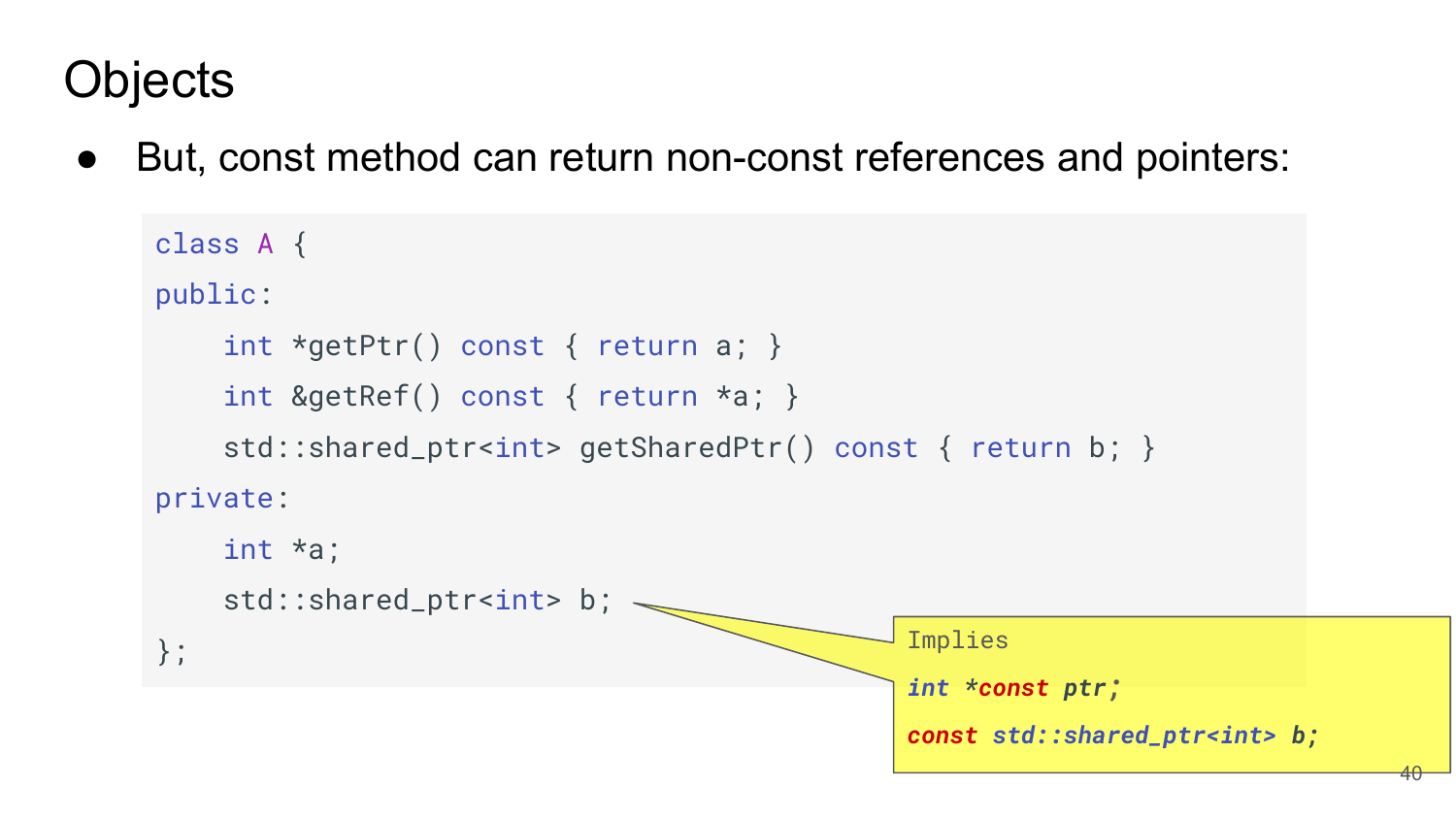# **Objects**

But, const method can return non-const references and pointers:

```
 class A {
public:
    int *getPtr() const { return a; }
    int &getRef() const { return *a; }
    std::shared_ptr<int> getSharedPtr() const { return b; }
private:
    int *a;
   std::shared_ptr<int> b; \sim\left\{\right\};int *const ptr;
                                         const std::shared_ptr<int> b;
                                                                     40
```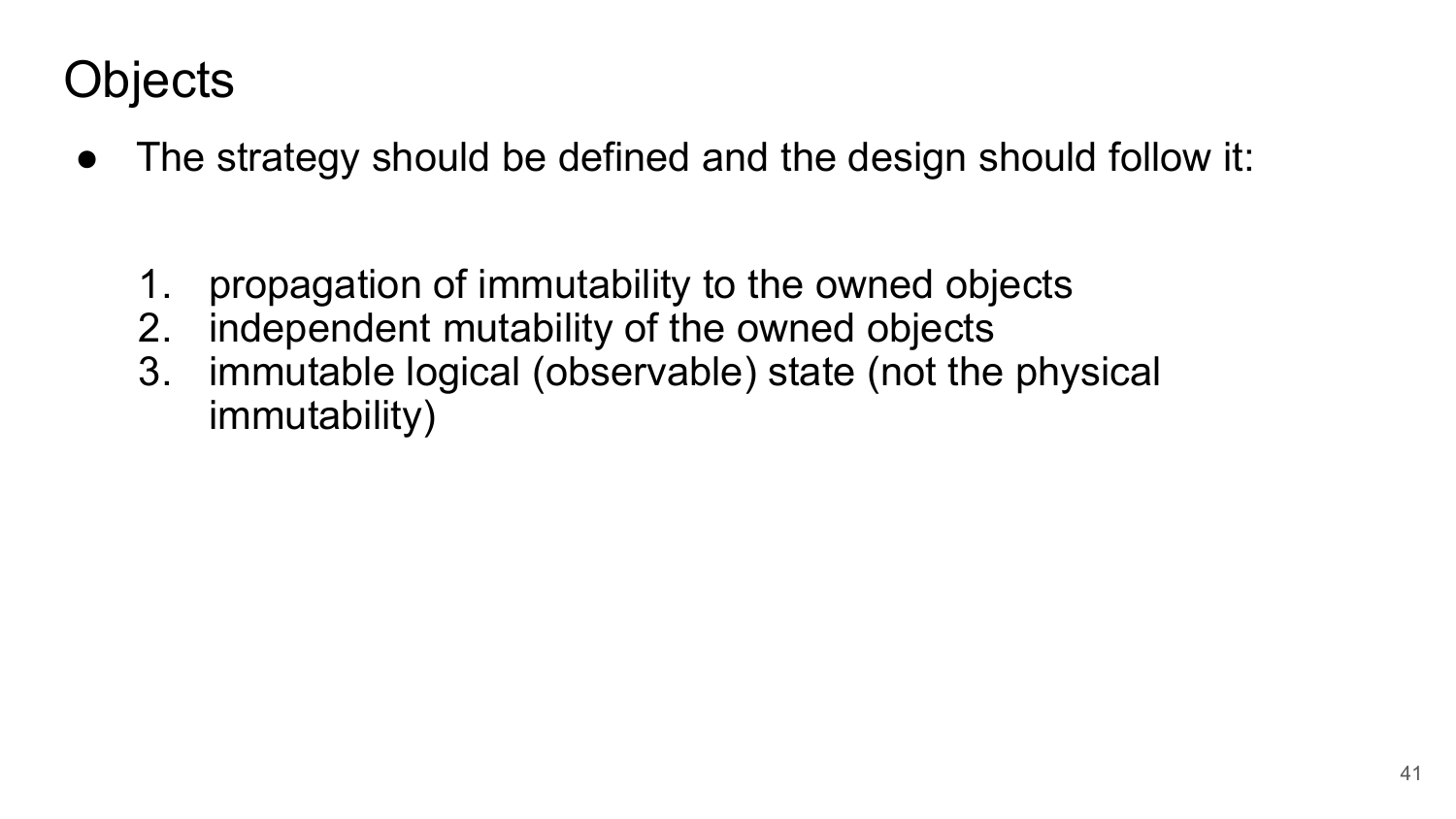# **Objects**

- The strategy should be defined and the design should follow it:
	- 1. propagation of immutability to the owned objects
	- 2. independent mutability of the owned objects
	- 3. immutable logical (observable) state (not the physical immutability)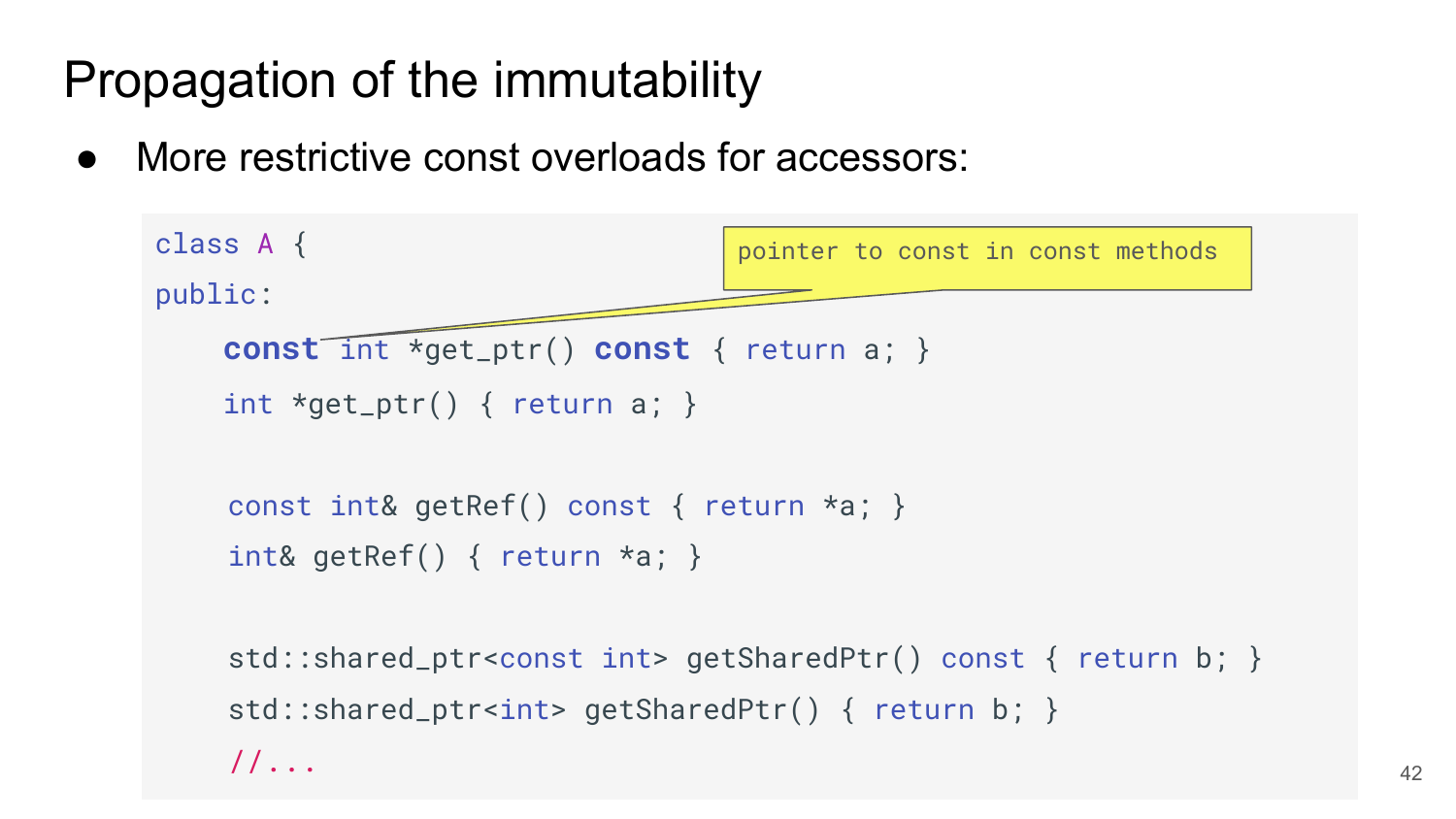# Propagation of the immutability

//...

More restrictive const overloads for accessors:

```
 class A {
public:
     const int *get_ptr() const { return a; }
    int *get\_ptr() \{ return a; \}const int& getRef() const { return *a; }
    int& getRef() { return *a; }
    std::shared_ptr<const int> getSharedPtr() const { return b; }
    std::shared_ptr<int> getSharedPtr() { return b; }
                                   pointer to const in const methods
```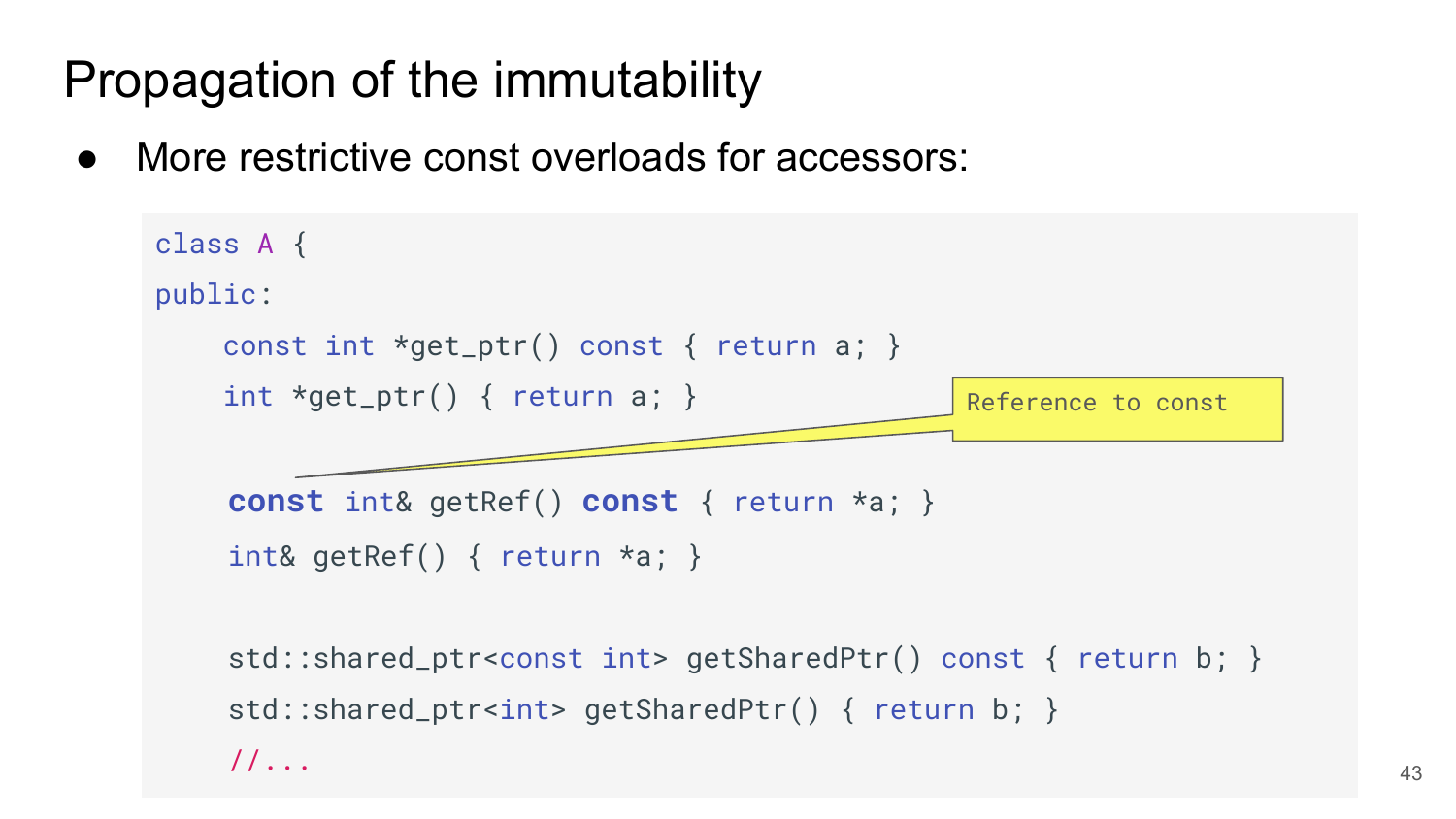# Propagation of the immutability

More restrictive const overloads for accessors:

```
 class A {
public:
     const int *get_ptr() const { return a; }
    int *get\_ptr() { return a; }
    const int& getRef() const { return *a; }
    int& getRef() { return *a; }
                                                  Reference to const
```
std::shared\_ptr<const int> getSharedPtr() const { return b; } std::shared\_ptr<int> getSharedPtr() { return b; } //...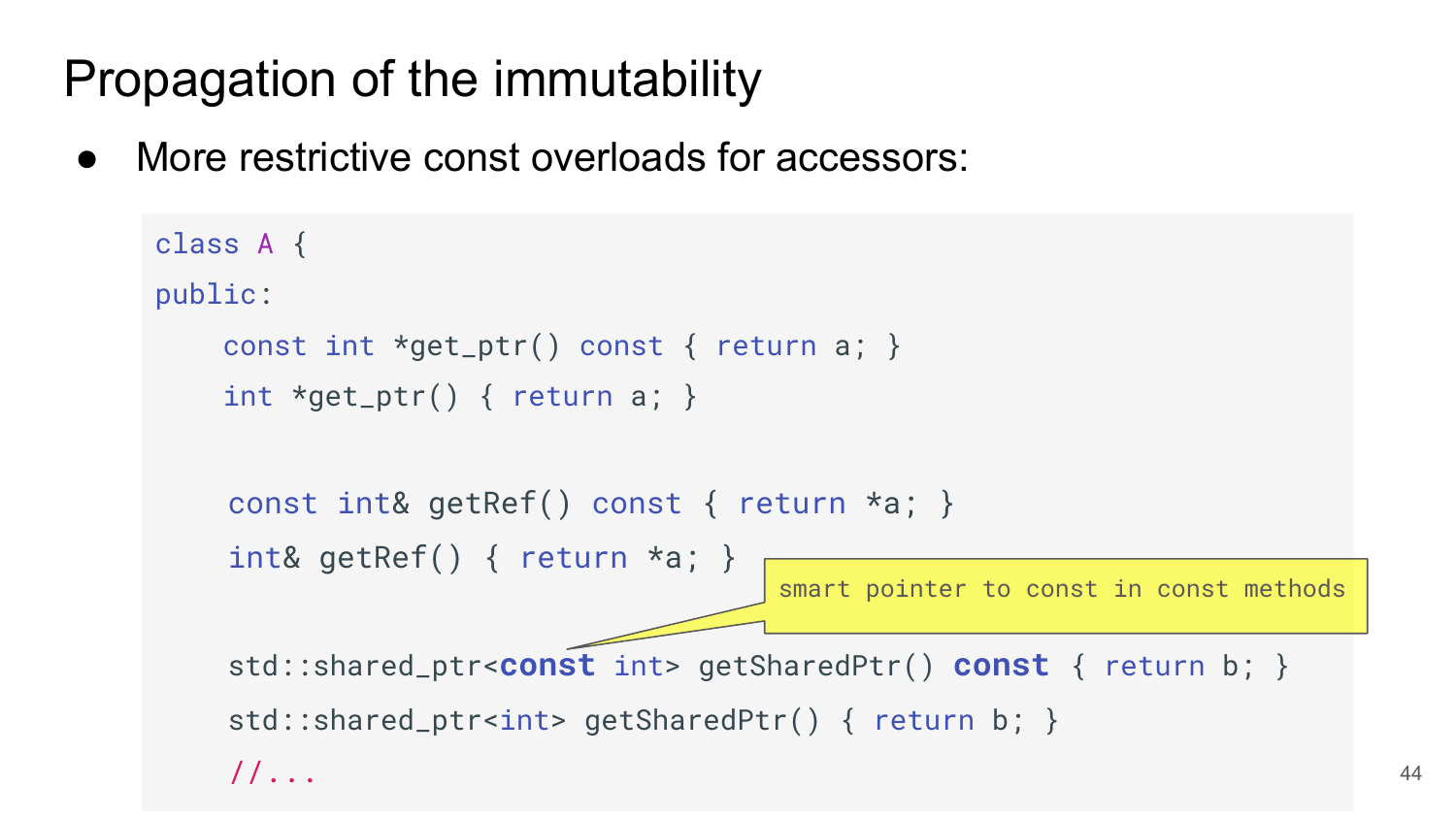# Propagation of the immutability

More restrictive const overloads for accessors:

```
 class A {
public:
     const int *get_ptr() const { return a; }
    int *get\_ptr() { return a; }
    const int& getRef() const { return *a; }
    int& getRef() { return *a; }
    std::shared_ptr<const int> getSharedPtr() const { return b; }
    std::shared_ptr<int> getSharedPtr() { return b; }
    //...
                                     smart pointer to const in const methods
```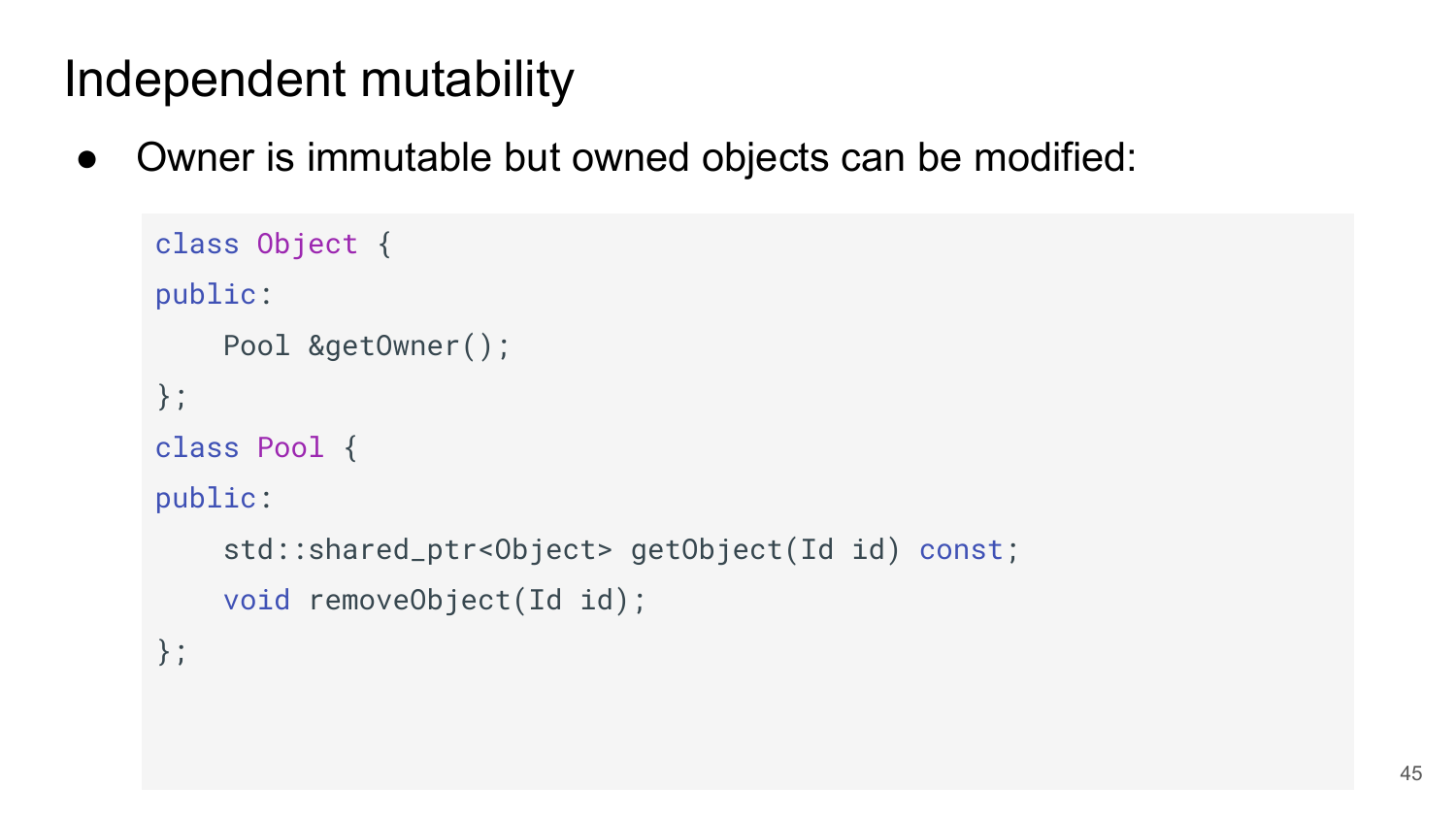● Owner is immutable but owned objects can be modified:

```
 class Object {
public:
     Pool &getOwner();
};
class Pool {
public:
     std::shared_ptr<Object> getObject(Id id) const;
     void removeObject(Id id);
};
```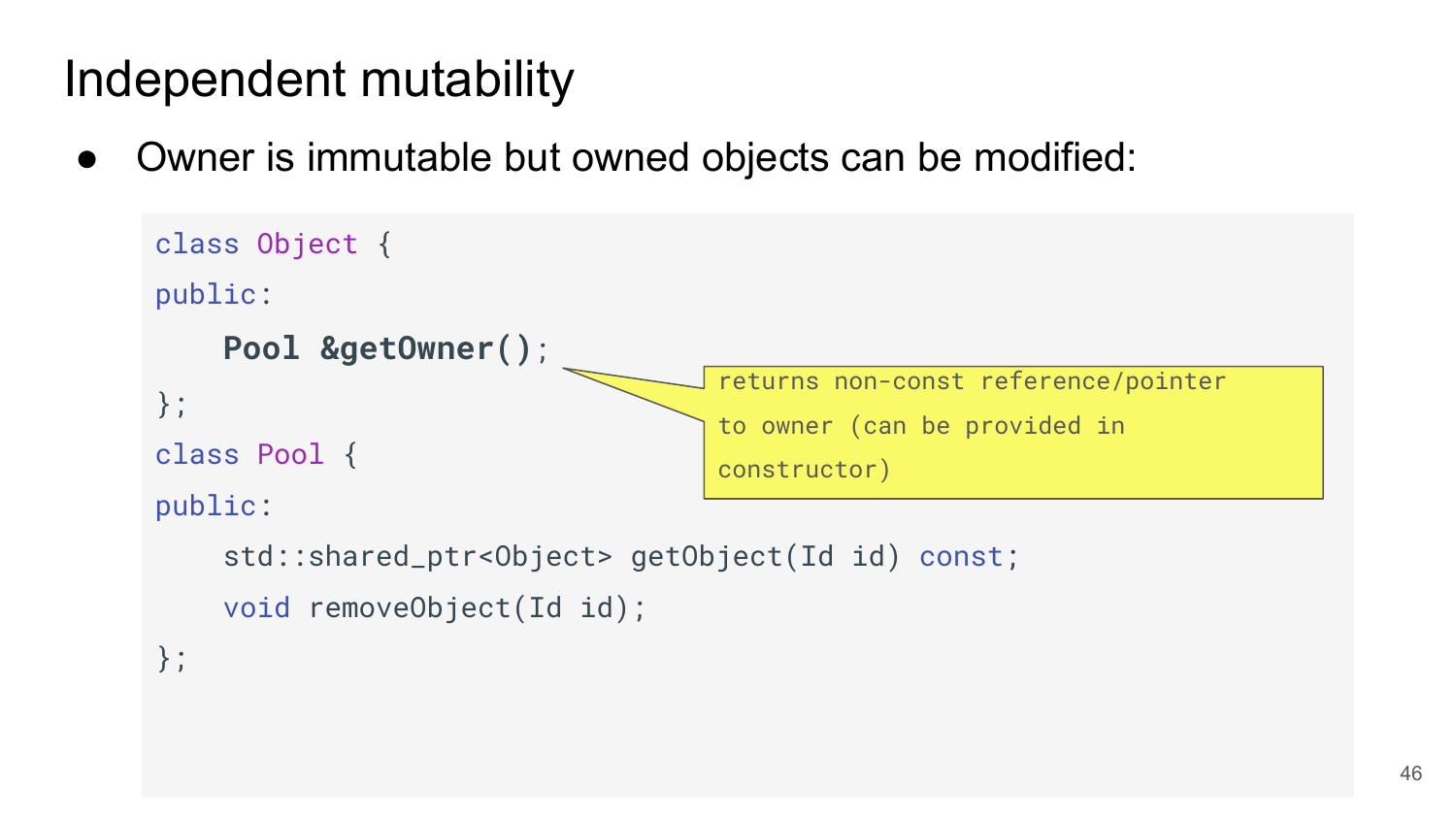● Owner is immutable but owned objects can be modified:

```
 class Object {
public:
     Pool &getOwner();
};
class Pool {
public:
     std::shared_ptr<Object> getObject(Id id) const;
     void removeObject(Id id);
};
                                    returns non-const reference/pointer
                                    to owner (can be provided in 
                                    constructor)
```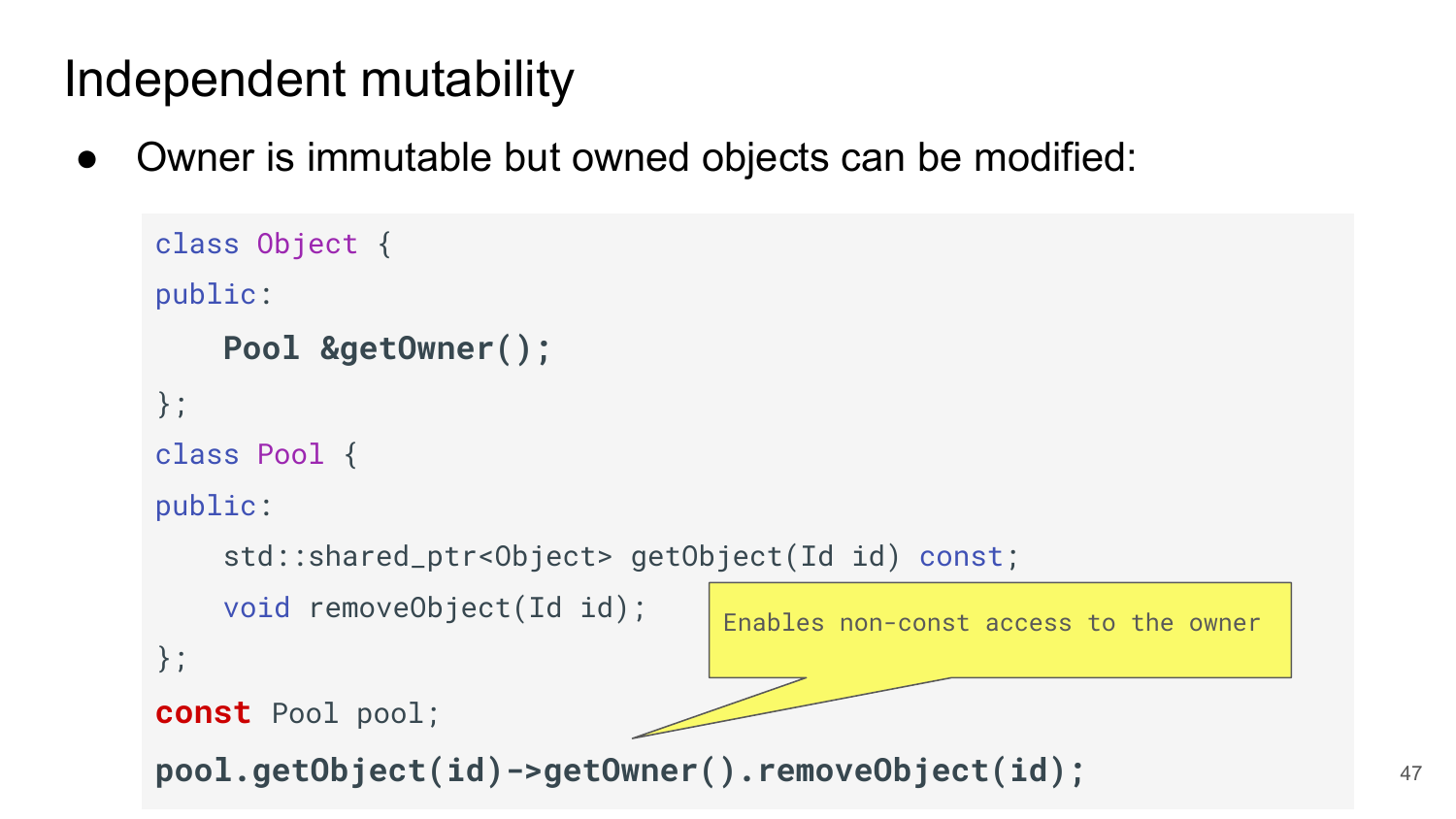Owner is immutable but owned objects can be modified:

```
 class Object {
public:
     Pool &getOwner();
};
class Pool {
public:
     std::shared_ptr<Object> getObject(Id id) const;
     void removeObject(Id id);
};
const Pool pool;
pool.getObject(id)->getOwner().removeObject(id);
                                  Enables non-const access to the owner
```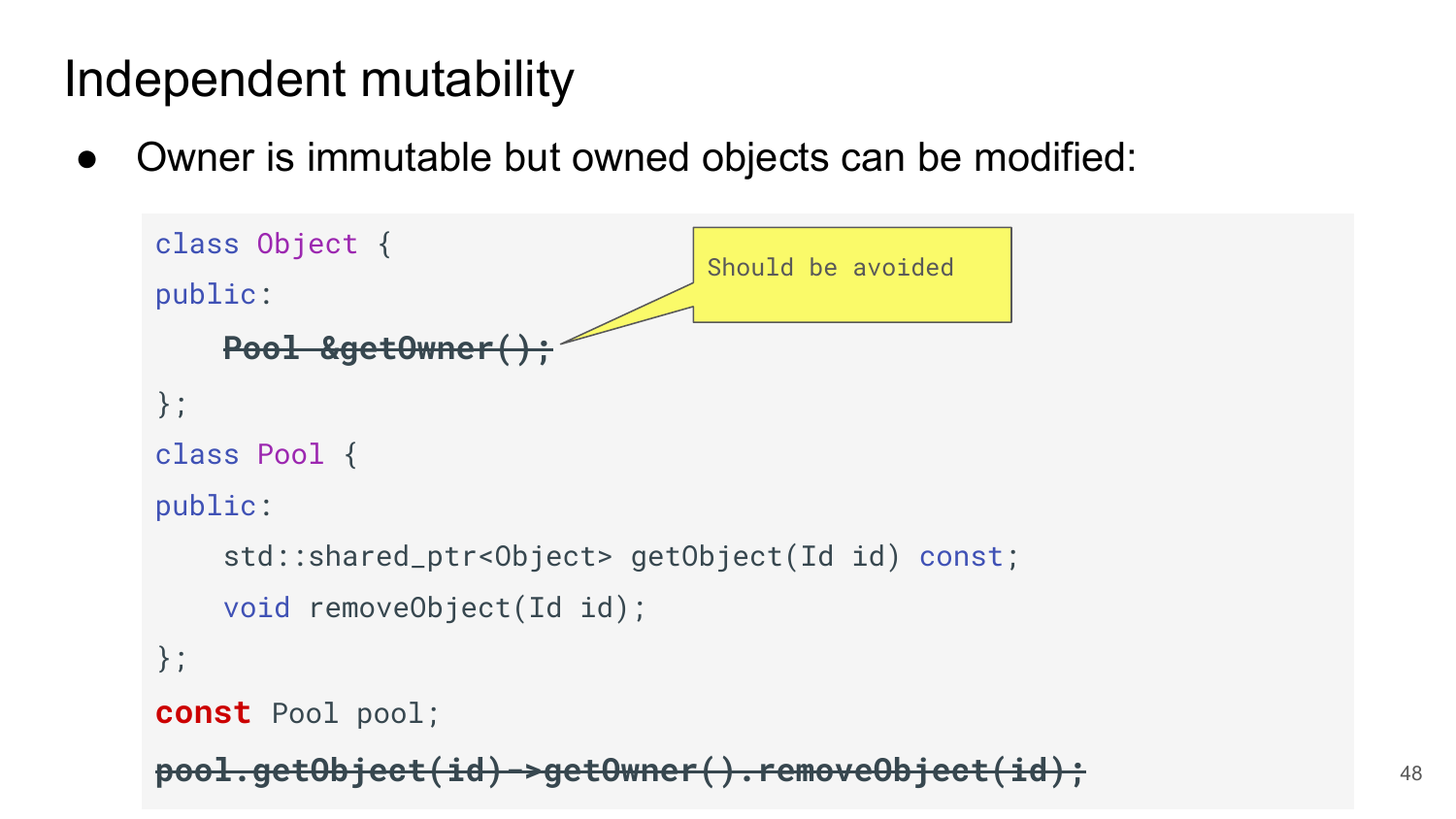● Owner is immutable but owned objects can be modified:

```
 class Object {
public:
   Pool &getOwner
};
class Pool {
public:
     std::shared_ptr<Object> getObject(Id id) const;
     void removeObject(Id id);
};
const Pool pool;
pool.getObject(id)->getOwner().removeObject(id);
                                 Should be avoided
```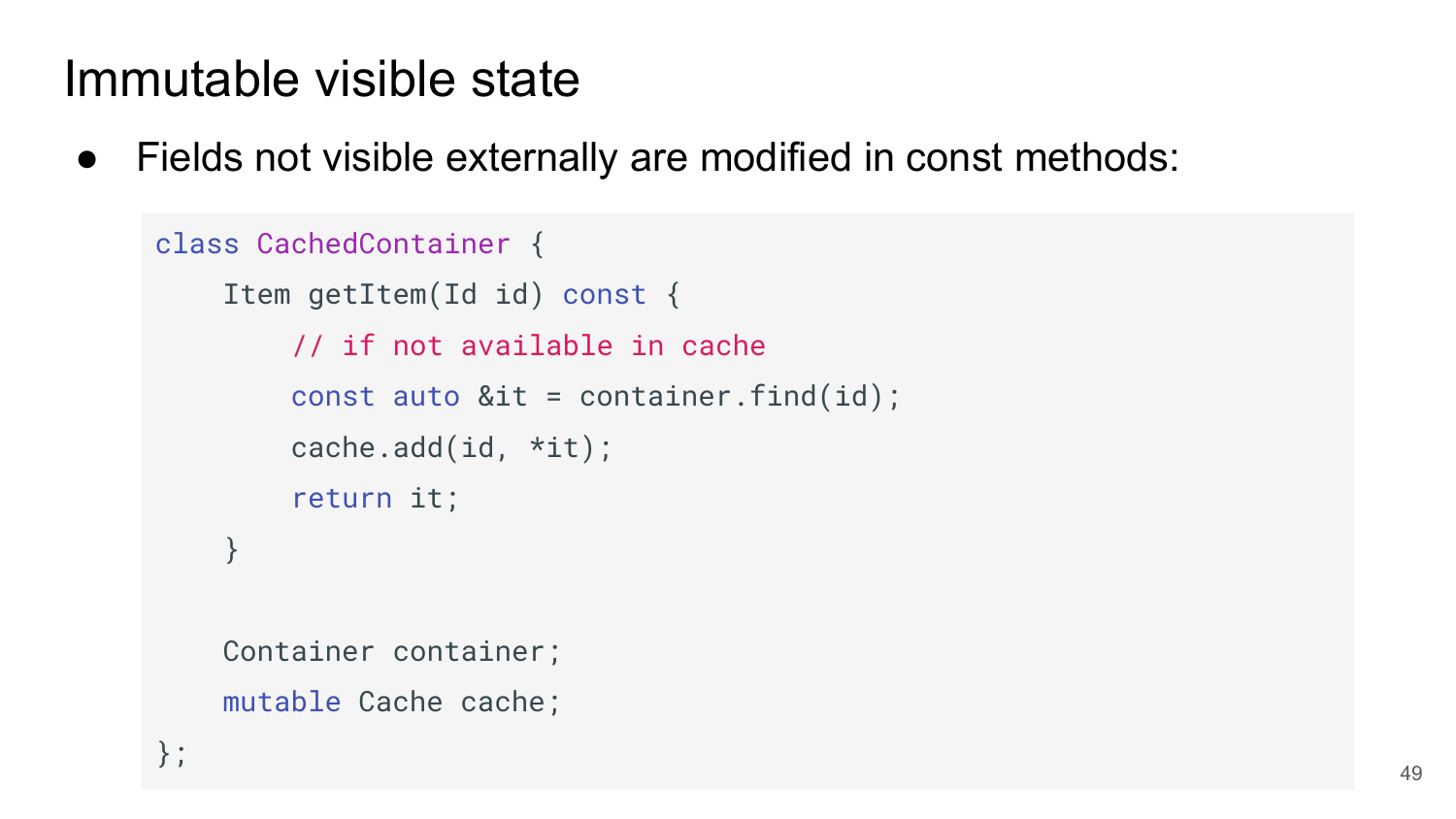● Fields not visible externally are modified in const methods:

```
 class CachedContainer {
     Item getItem(Id id) const {
         // if not available in cache
        const auto &it = container.find(id);
         cache.add(id, *it);
         return it;
     }
```
 Container container; mutable Cache cache;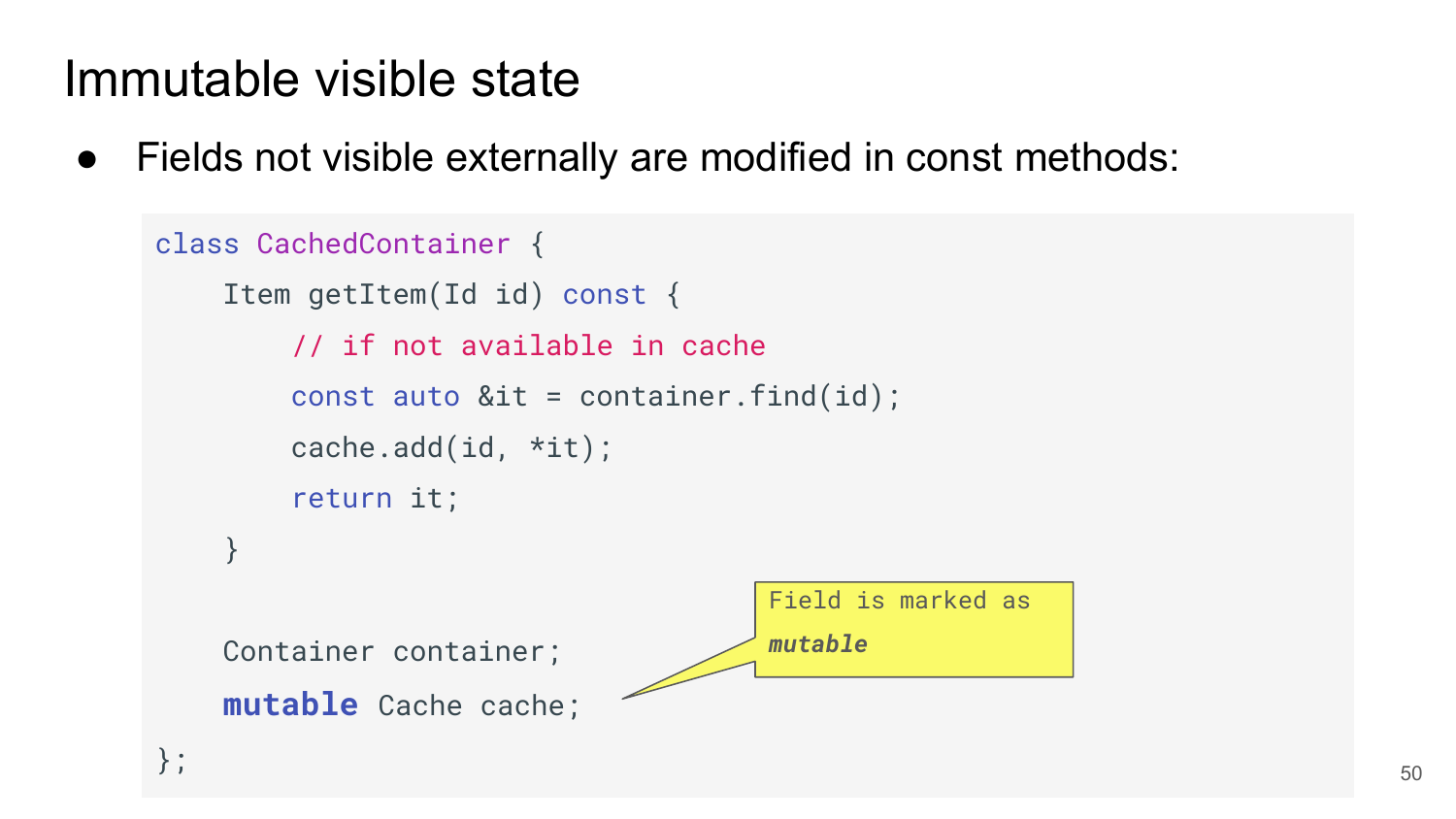● Fields not visible externally are modified in const methods:

```
 class CachedContainer {
     Item getItem(Id id) const {
         // if not available in cache
        const auto &it = container.find(id);
         cache.add(id, *it);
         return it;
 }
     Container container;
     mutable Cache cache;
};
                                      Field is marked as 
                                      mutable
```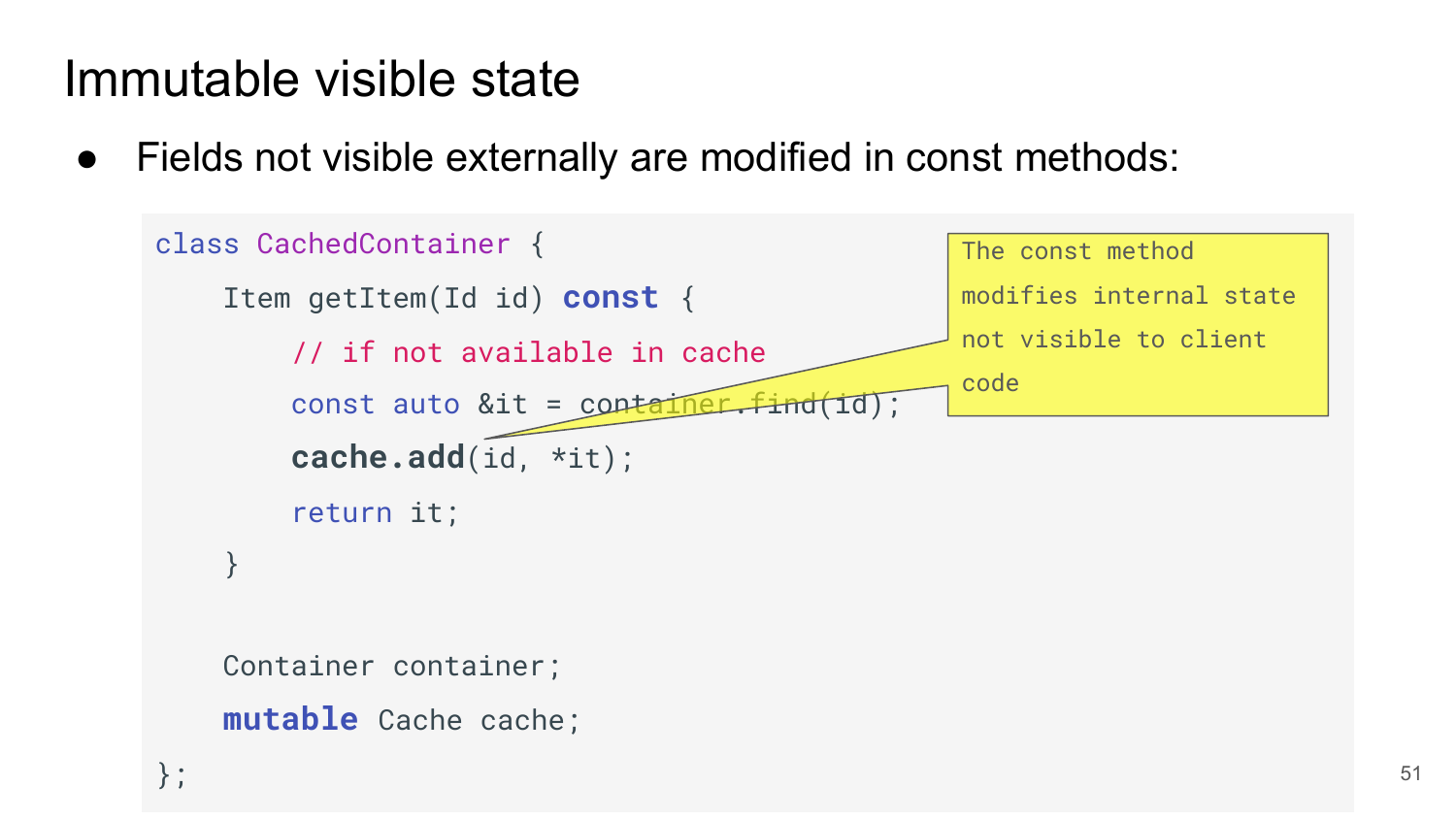● Fields not visible externally are modified in const methods:



Container container;

**mutable** Cache cache;

};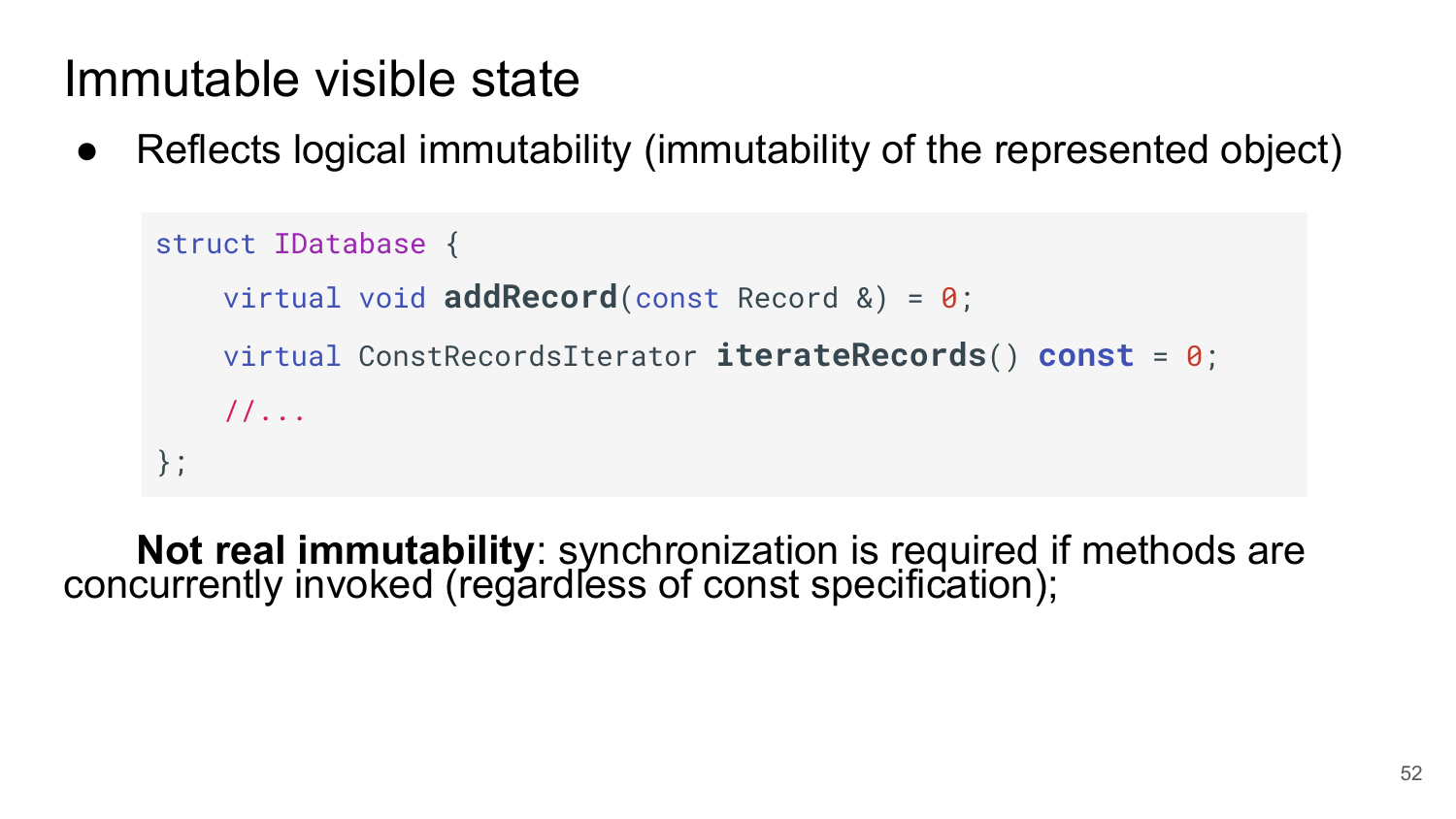Reflects logical immutability (immutability of the represented object)

```
struct IDatabase {
    virtual void addRecord(const Record &) = 0;
    virtual ConstRecordsIterator iterateRecords() const = 0;
    //...
};
```
**Not real immutability**: synchronization is required if methods are concurrently invoked (regardless of const specification);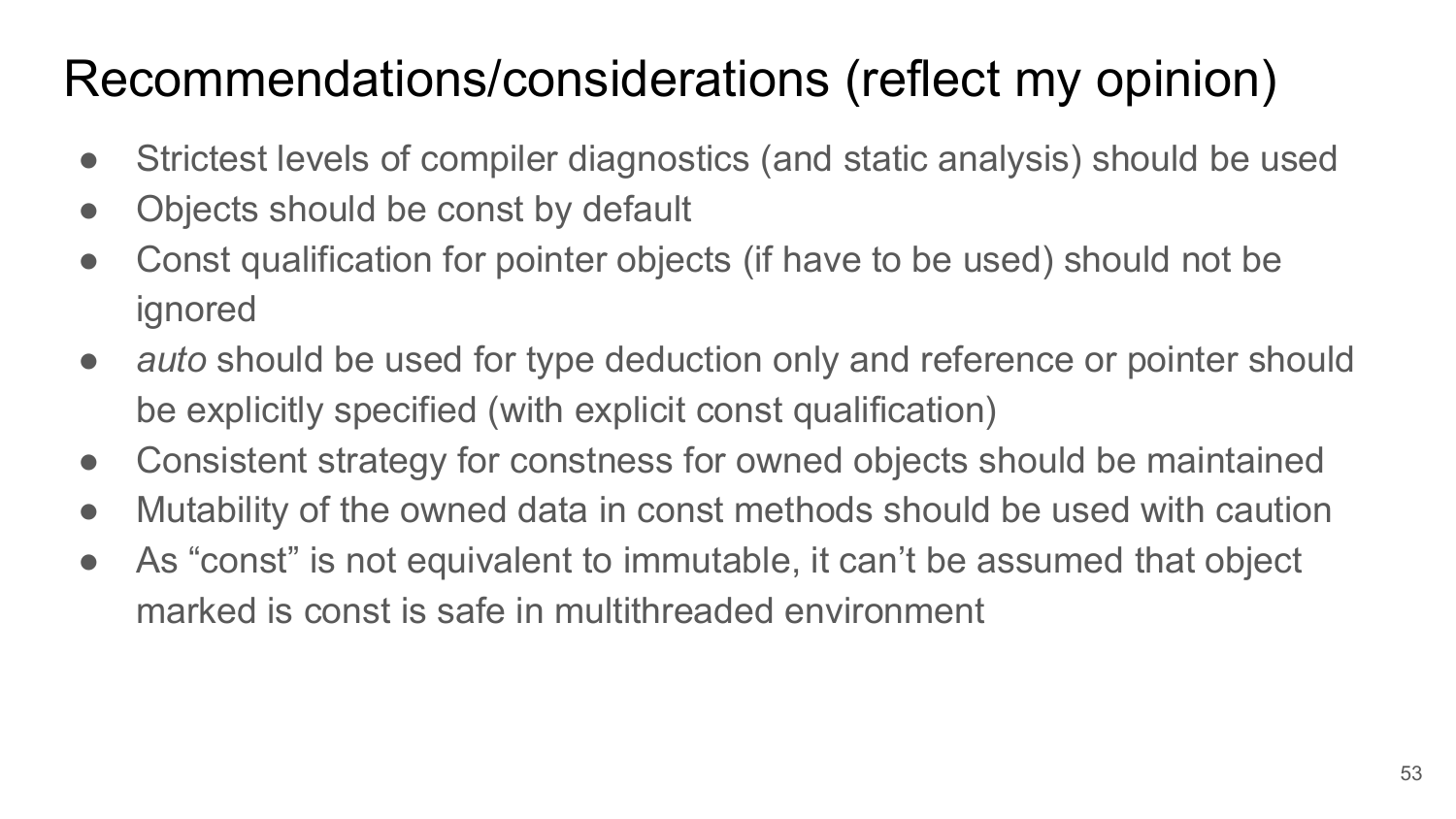# Recommendations/considerations (reflect my opinion)

- Strictest levels of compiler diagnostics (and static analysis) should be used
- Objects should be const by default
- Const qualification for pointer objects (if have to be used) should not be ignored
- *auto* should be used for type deduction only and reference or pointer should be explicitly specified (with explicit const qualification)
- Consistent strategy for constness for owned objects should be maintained
- Mutability of the owned data in const methods should be used with caution
- As "const" is not equivalent to immutable, it can't be assumed that object marked is const is safe in multithreaded environment